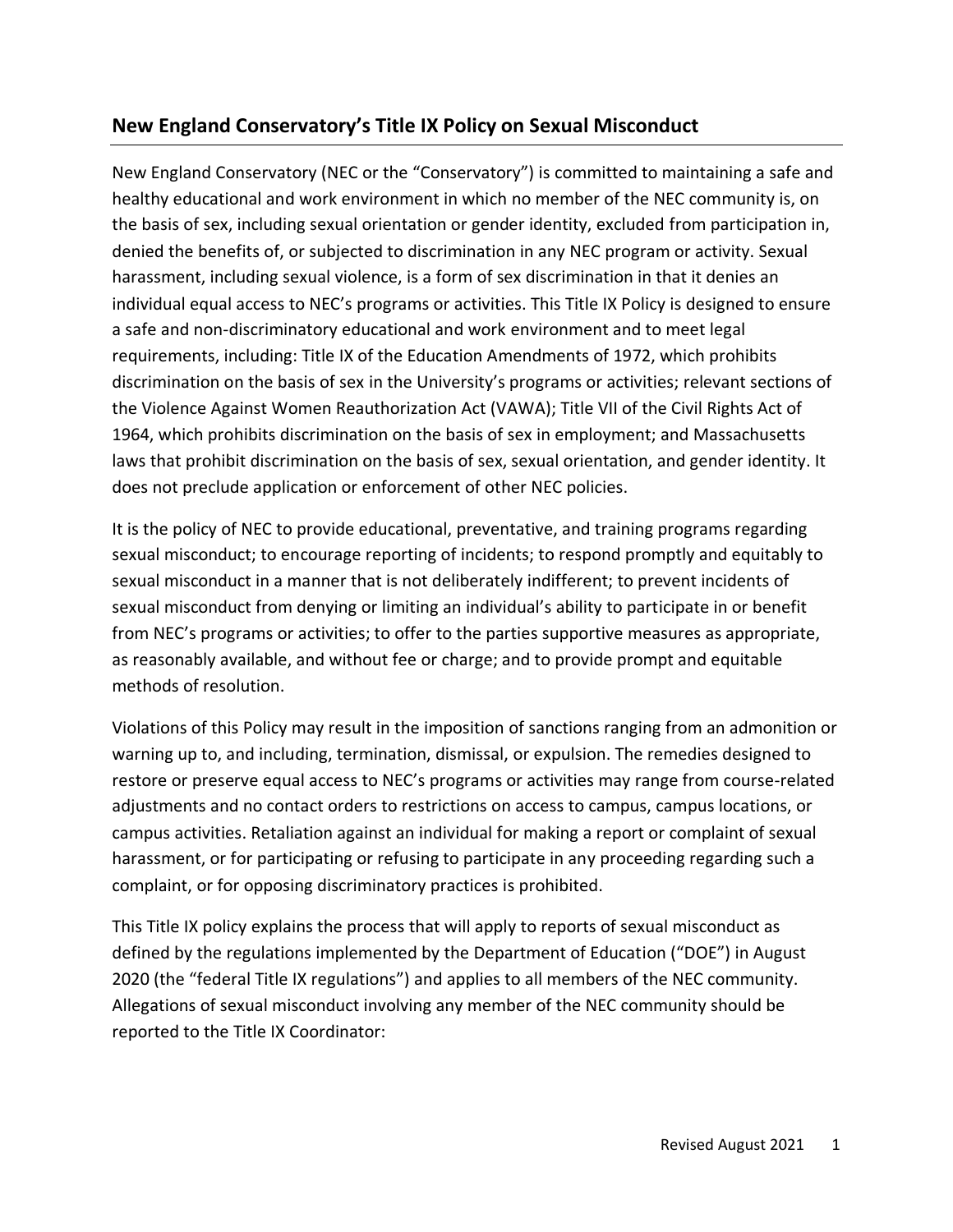# **New England Conservatory's Title IX Policy on Sexual Misconduct**

New England Conservatory (NEC or the "Conservatory") is committed to maintaining a safe and healthy educational and work environment in which no member of the NEC community is, on the basis of sex, including sexual orientation or gender identity, excluded from participation in, denied the benefits of, or subjected to discrimination in any NEC program or activity. Sexual harassment, including sexual violence, is a form of sex discrimination in that it denies an individual equal access to NEC's programs or activities. This Title IX Policy is designed to ensure a safe and non-discriminatory educational and work environment and to meet legal requirements, including: Title IX of the Education Amendments of 1972, which prohibits discrimination on the basis of sex in the University's programs or activities; relevant sections of the Violence Against Women Reauthorization Act (VAWA); Title VII of the Civil Rights Act of 1964, which prohibits discrimination on the basis of sex in employment; and Massachusetts laws that prohibit discrimination on the basis of sex, sexual orientation, and gender identity. It does not preclude application or enforcement of other NEC policies.

It is the policy of NEC to provide educational, preventative, and training programs regarding sexual misconduct; to encourage reporting of incidents; to respond promptly and equitably to sexual misconduct in a manner that is not deliberately indifferent; to prevent incidents of sexual misconduct from denying or limiting an individual's ability to participate in or benefit from NEC's programs or activities; to offer to the parties supportive measures as appropriate, as reasonably available, and without fee or charge; and to provide prompt and equitable methods of resolution.

Violations of this Policy may result in the imposition of sanctions ranging from an admonition or warning up to, and including, termination, dismissal, or expulsion. The remedies designed to restore or preserve equal access to NEC's programs or activities may range from course-related adjustments and no contact orders to restrictions on access to campus, campus locations, or campus activities. Retaliation against an individual for making a report or complaint of sexual harassment, or for participating or refusing to participate in any proceeding regarding such a complaint, or for opposing discriminatory practices is prohibited.

This Title IX policy explains the process that will apply to reports of sexual misconduct as defined by the regulations implemented by the Department of Education ("DOE") in August 2020 (the "federal Title IX regulations") and applies to all members of the NEC community. Allegations of sexual misconduct involving any member of the NEC community should be reported to the Title IX Coordinator: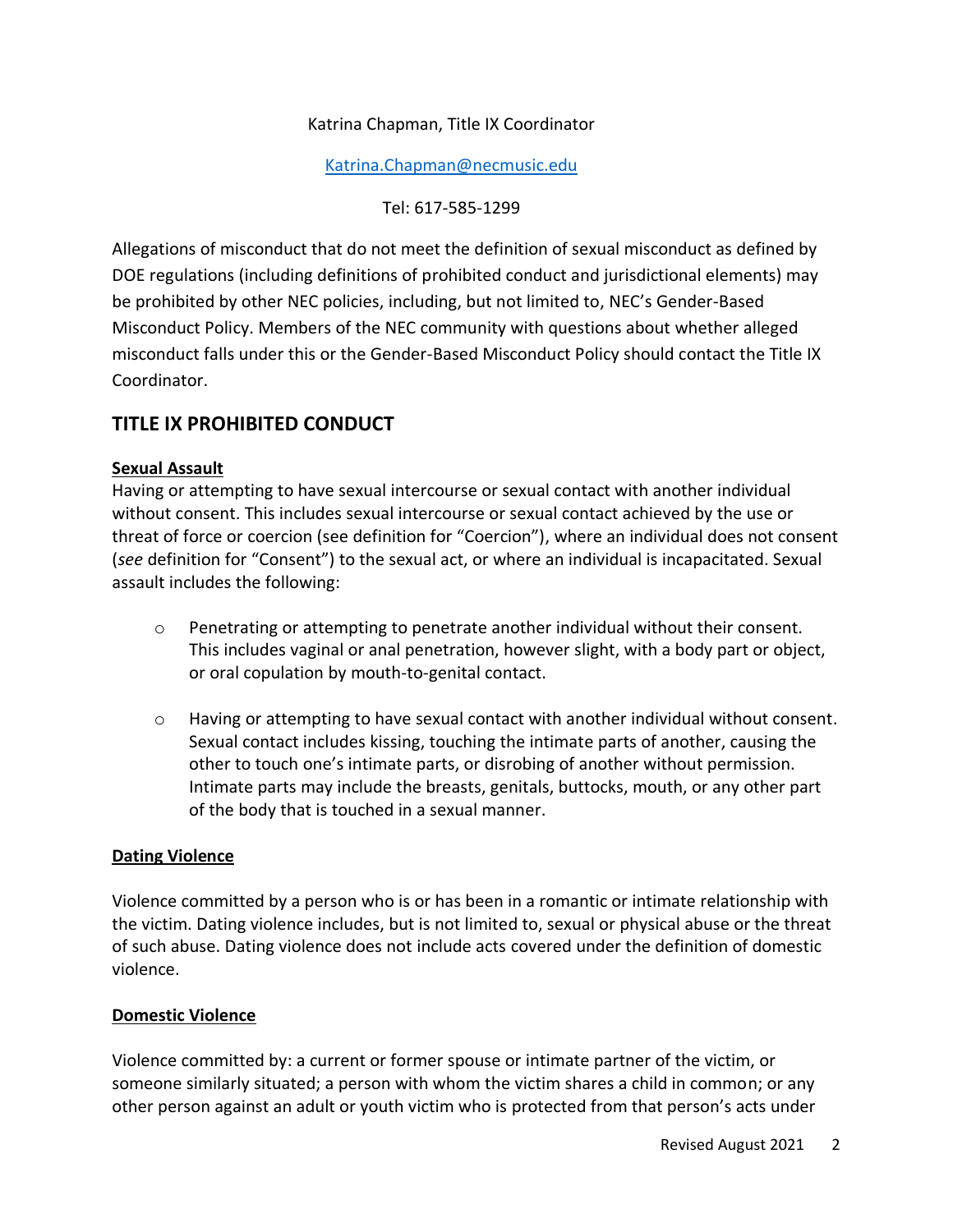## Katrina Chapman, Title IX Coordinator

[Katrina.Chapman@necmusic.edu](mailto:Katrina.Chapman@necmusic.edu)

Tel: 617-585-1299

Allegations of misconduct that do not meet the definition of sexual misconduct as defined by DOE regulations (including definitions of prohibited conduct and jurisdictional elements) may be prohibited by other NEC policies, including, but not limited to, NEC's Gender-Based Misconduct Policy. Members of the NEC community with questions about whether alleged misconduct falls under this or the Gender-Based Misconduct Policy should contact the Title IX Coordinator.

# **TITLE IX PROHIBITED CONDUCT**

#### **Sexual Assault**

Having or attempting to have sexual intercourse or sexual contact with another individual without consent. This includes sexual intercourse or sexual contact achieved by the use or threat of force or coercion (see definition for "Coercion"), where an individual does not consent (*see* definition for "Consent") to the sexual act, or where an individual is incapacitated. Sexual assault includes the following:

- $\circ$  Penetrating or attempting to penetrate another individual without their consent. This includes vaginal or anal penetration, however slight, with a body part or object, or oral copulation by mouth-to-genital contact.
- o Having or attempting to have sexual contact with another individual without consent. Sexual contact includes kissing, touching the intimate parts of another, causing the other to touch one's intimate parts, or disrobing of another without permission. Intimate parts may include the breasts, genitals, buttocks, mouth, or any other part of the body that is touched in a sexual manner.

#### **Dating Violence**

Violence committed by a person who is or has been in a romantic or intimate relationship with the victim. Dating violence includes, but is not limited to, sexual or physical abuse or the threat of such abuse. Dating violence does not include acts covered under the definition of domestic violence.

#### **Domestic Violence**

Violence committed by: a current or former spouse or intimate partner of the victim, or someone similarly situated; a person with whom the victim shares a child in common; or any other person against an adult or youth victim who is protected from that person's acts under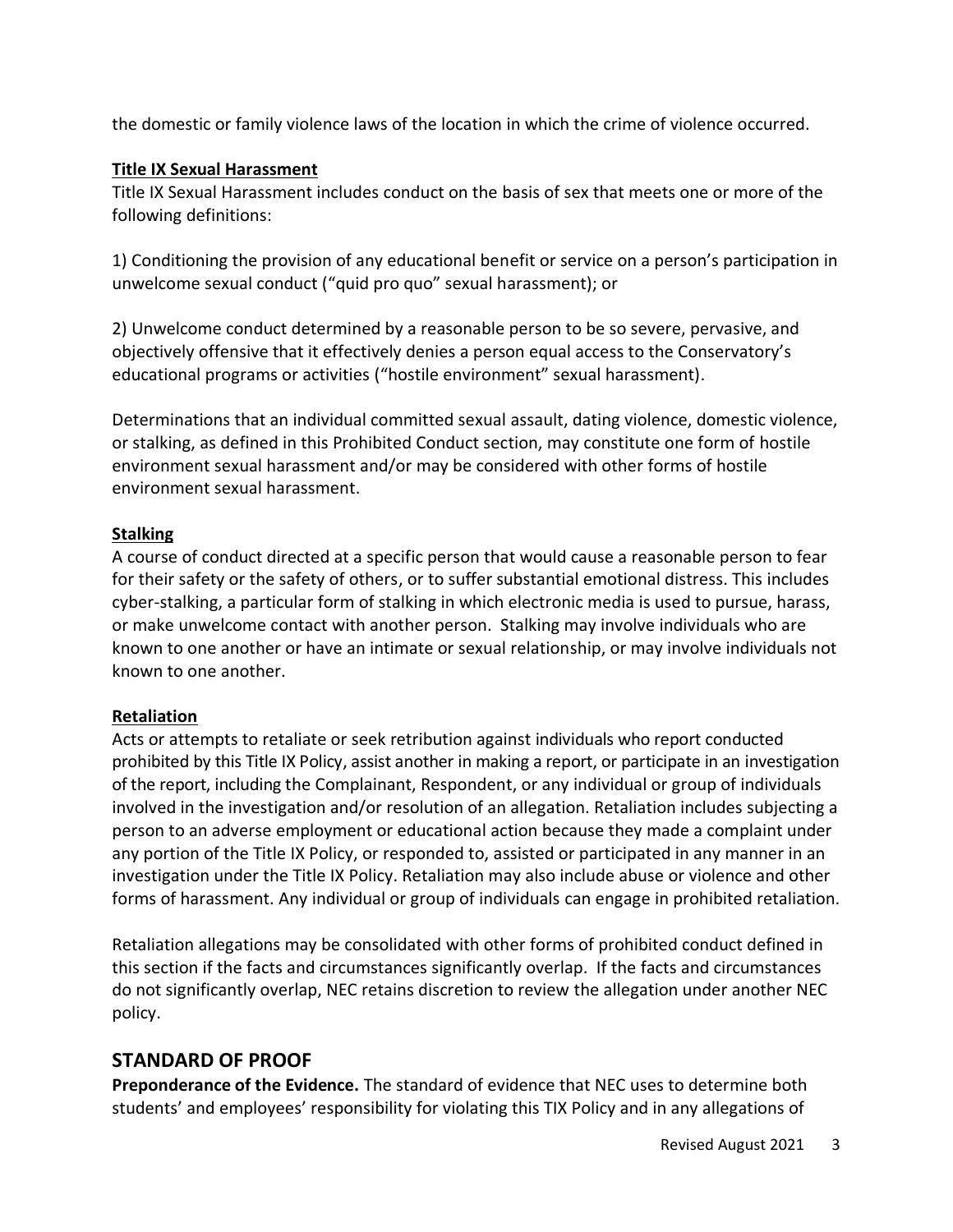the domestic or family violence laws of the location in which the crime of violence occurred.

### **Title IX Sexual Harassment**

Title IX Sexual Harassment includes conduct on the basis of sex that meets one or more of the following definitions:

1) Conditioning the provision of any educational benefit or service on a person's participation in unwelcome sexual conduct ("quid pro quo" sexual harassment); or

2) Unwelcome conduct determined by a reasonable person to be so severe, pervasive, and objectively offensive that it effectively denies a person equal access to the Conservatory's educational programs or activities ("hostile environment" sexual harassment).

Determinations that an individual committed sexual assault, dating violence, domestic violence, or stalking, as defined in this Prohibited Conduct section, may constitute one form of hostile environment sexual harassment and/or may be considered with other forms of hostile environment sexual harassment.

#### **Stalking**

A course of conduct directed at a specific person that would cause a reasonable person to fear for their safety or the safety of others, or to suffer substantial emotional distress. This includes cyber-stalking, a particular form of stalking in which electronic media is used to pursue, harass, or make unwelcome contact with another person. Stalking may involve individuals who are known to one another or have an intimate or sexual relationship, or may involve individuals not known to one another.

## **Retaliation**

Acts or attempts to retaliate or seek retribution against individuals who report conducted prohibited by this Title IX Policy, assist another in making a report, or participate in an investigation of the report, including the Complainant, Respondent, or any individual or group of individuals involved in the investigation and/or resolution of an allegation. Retaliation includes subjecting a person to an adverse employment or educational action because they made a complaint under any portion of the Title IX Policy, or responded to, assisted or participated in any manner in an investigation under the Title IX Policy. Retaliation may also include abuse or violence and other forms of harassment. Any individual or group of individuals can engage in prohibited retaliation.

Retaliation allegations may be consolidated with other forms of prohibited conduct defined in this section if the facts and circumstances significantly overlap. If the facts and circumstances do not significantly overlap, NEC retains discretion to review the allegation under another NEC policy.

# **STANDARD OF PROOF**

**Preponderance of the Evidence.** The standard of evidence that NEC uses to determine both students' and employees' responsibility for violating this TIX Policy and in any allegations of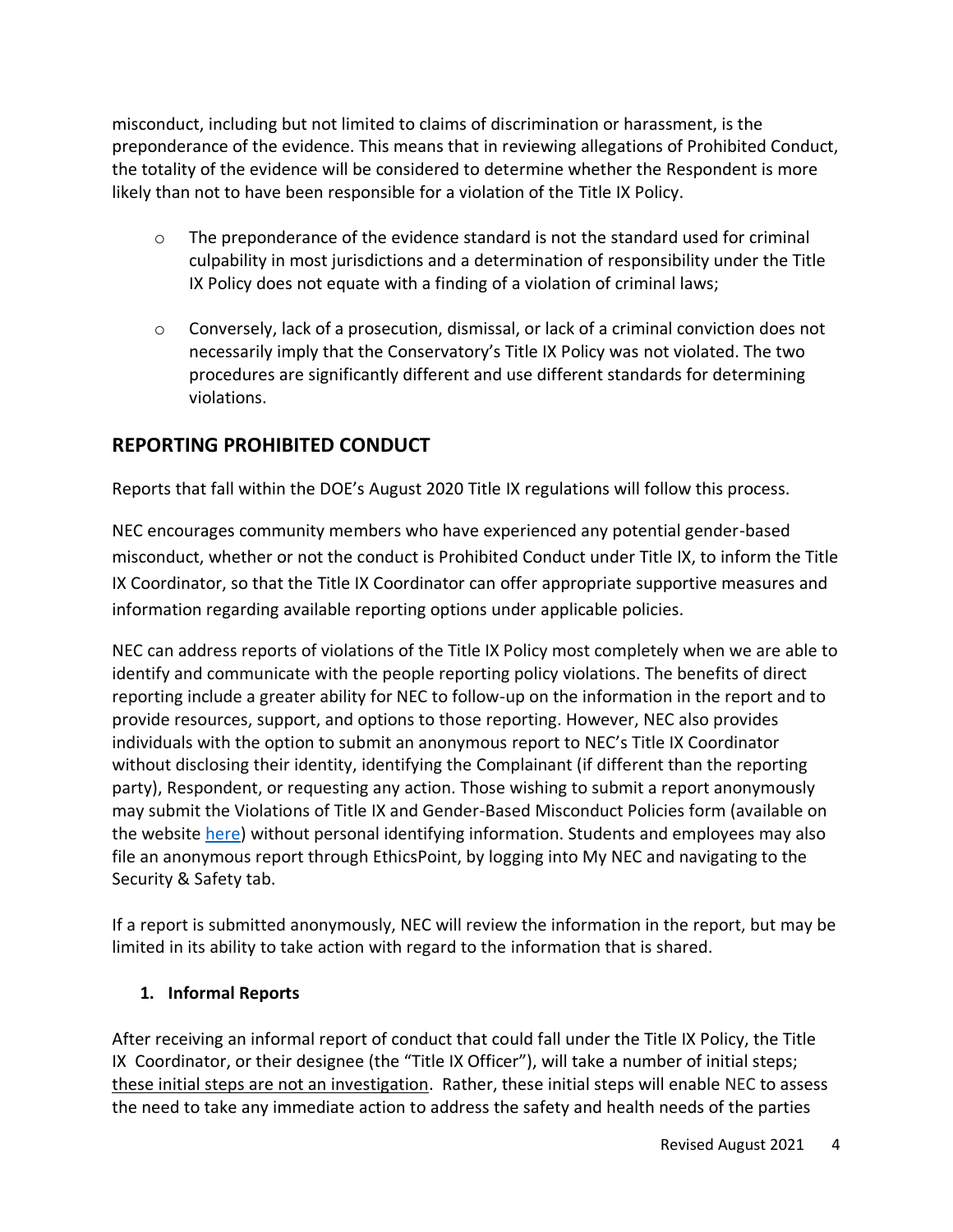misconduct, including but not limited to claims of discrimination or harassment, is the preponderance of the evidence. This means that in reviewing allegations of Prohibited Conduct, the totality of the evidence will be considered to determine whether the Respondent is more likely than not to have been responsible for a violation of the Title IX Policy.

- $\circ$  The preponderance of the evidence standard is not the standard used for criminal culpability in most jurisdictions and a determination of responsibility under the Title IX Policy does not equate with a finding of a violation of criminal laws;
- o Conversely, lack of a prosecution, dismissal, or lack of a criminal conviction does not necessarily imply that the Conservatory's Title IX Policy was not violated. The two procedures are significantly different and use different standards for determining violations.

# **REPORTING PROHIBITED CONDUCT**

Reports that fall within the DOE's August 2020 Title IX regulations will follow this process.

NEC encourages community members who have experienced any potential gender-based misconduct, whether or not the conduct is Prohibited Conduct under Title IX, to inform the Title IX Coordinator, so that the Title IX Coordinator can offer appropriate supportive measures and information regarding available reporting options under applicable policies.

NEC can address reports of violations of the Title IX Policy most completely when we are able to identify and communicate with the people reporting policy violations. The benefits of direct reporting include a greater ability for NEC to follow-up on the information in the report and to provide resources, support, and options to those reporting. However, NEC also provides individuals with the option to submit an anonymous report to NEC's Title IX Coordinator without disclosing their identity, identifying the Complainant (if different than the reporting party), Respondent, or requesting any action. Those wishing to submit a report anonymously may submit the Violations of Title IX and Gender-Based Misconduct Policies form (available on the website [here\)](https://necmusic.edu/student-care-and-concern) without personal identifying information. Students and employees may also file an anonymous report through EthicsPoint, by logging into My NEC and navigating to the Security & Safety tab.

If a report is submitted anonymously, NEC will review the information in the report, but may be limited in its ability to take action with regard to the information that is shared.

## **1. Informal Reports**

After receiving an informal report of conduct that could fall under the Title IX Policy, the Title IX Coordinator, or their designee (the "Title IX Officer"), will take a number of initial steps; these initial steps are not an investigation. Rather, these initial steps will enable NEC to assess the need to take any immediate action to address the safety and health needs of the parties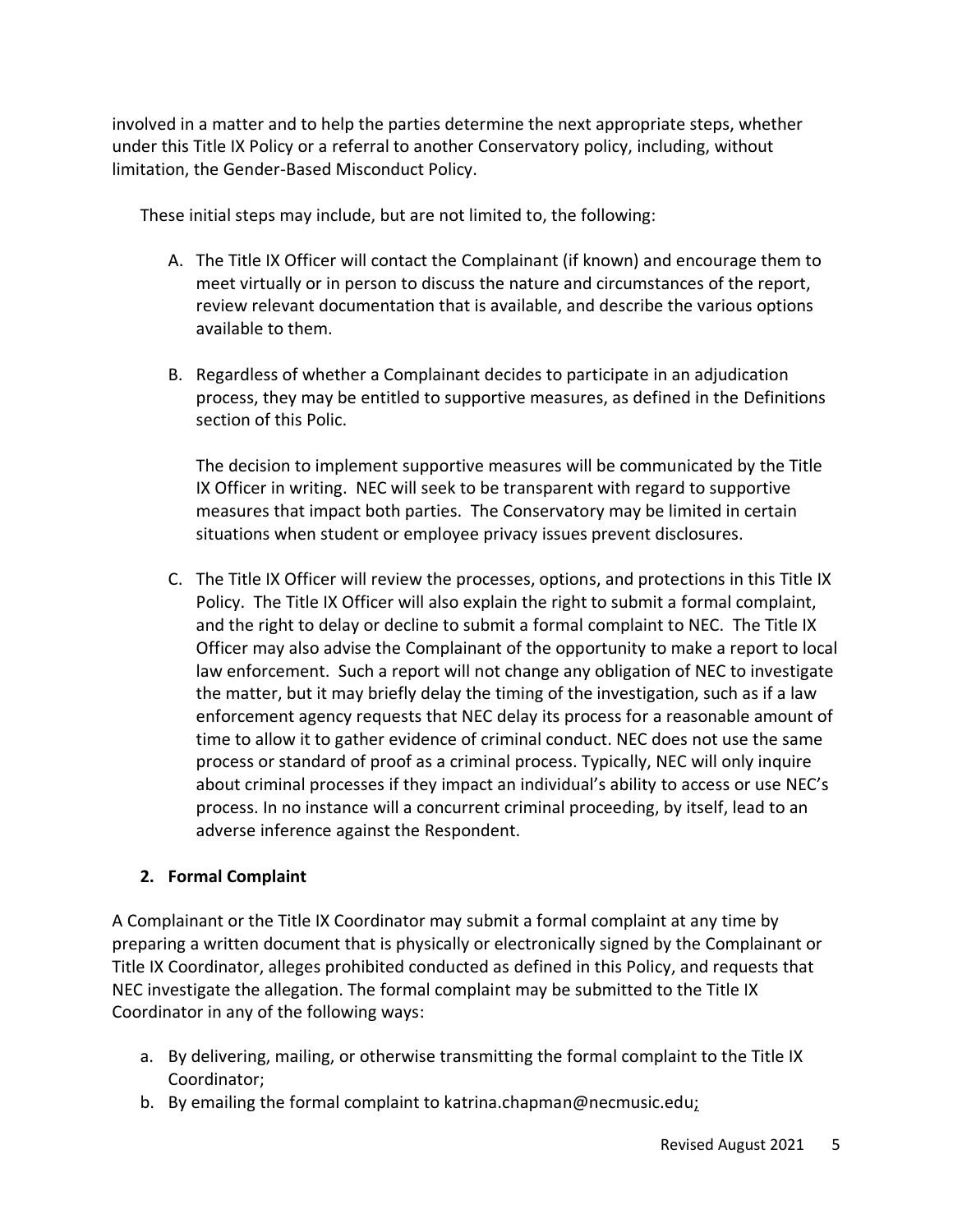involved in a matter and to help the parties determine the next appropriate steps, whether under this Title IX Policy or a referral to another Conservatory policy, including, without limitation, the Gender-Based Misconduct Policy.

These initial steps may include, but are not limited to, the following:

- A. The Title IX Officer will contact the Complainant (if known) and encourage them to meet virtually or in person to discuss the nature and circumstances of the report, review relevant documentation that is available, and describe the various options available to them.
- B. Regardless of whether a Complainant decides to participate in an adjudication process, they may be entitled to supportive measures, as defined in the Definitions section of this Polic.

The decision to implement supportive measures will be communicated by the Title IX Officer in writing. NEC will seek to be transparent with regard to supportive measures that impact both parties. The Conservatory may be limited in certain situations when student or employee privacy issues prevent disclosures.

C. The Title IX Officer will review the processes, options, and protections in this Title IX Policy. The Title IX Officer will also explain the right to submit a formal complaint, and the right to delay or decline to submit a formal complaint to NEC. The Title IX Officer may also advise the Complainant of the opportunity to make a report to local law enforcement. Such a report will not change any obligation of NEC to investigate the matter, but it may briefly delay the timing of the investigation, such as if a law enforcement agency requests that NEC delay its process for a reasonable amount of time to allow it to gather evidence of criminal conduct. NEC does not use the same process or standard of proof as a criminal process. Typically, NEC will only inquire about criminal processes if they impact an individual's ability to access or use NEC's process. In no instance will a concurrent criminal proceeding, by itself, lead to an adverse inference against the Respondent.

## **2. Formal Complaint**

A Complainant or the Title IX Coordinator may submit a formal complaint at any time by preparing a written document that is physically or electronically signed by the Complainant or Title IX Coordinator, alleges prohibited conducted as defined in this Policy, and requests that NEC investigate the allegation. The formal complaint may be submitted to the Title IX Coordinator in any of the following ways:

- a. By delivering, mailing, or otherwise transmitting the formal complaint to the Title IX Coordinator;
- b. By emailing the formal complaint to katrina.chapman@necmusic.edu;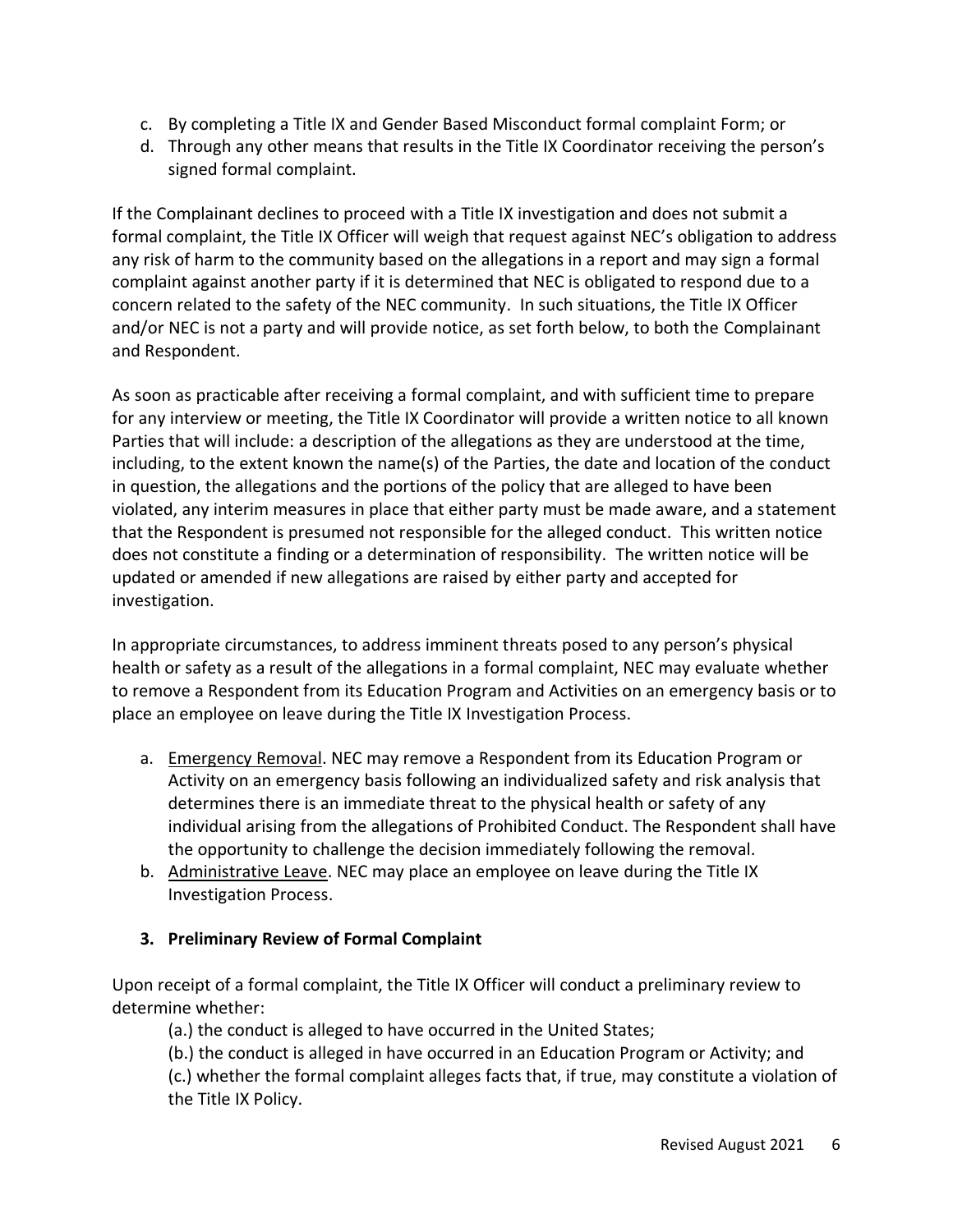- c. By completing a Title IX and Gender Based Misconduct formal complaint Form; or
- d. Through any other means that results in the Title IX Coordinator receiving the person's signed formal complaint.

If the Complainant declines to proceed with a Title IX investigation and does not submit a formal complaint, the Title IX Officer will weigh that request against NEC's obligation to address any risk of harm to the community based on the allegations in a report and may sign a formal complaint against another party if it is determined that NEC is obligated to respond due to a concern related to the safety of the NEC community. In such situations, the Title IX Officer and/or NEC is not a party and will provide notice, as set forth below, to both the Complainant and Respondent.

As soon as practicable after receiving a formal complaint, and with sufficient time to prepare for any interview or meeting, the Title IX Coordinator will provide a written notice to all known Parties that will include: a description of the allegations as they are understood at the time, including, to the extent known the name(s) of the Parties, the date and location of the conduct in question, the allegations and the portions of the policy that are alleged to have been violated, any interim measures in place that either party must be made aware, and a statement that the Respondent is presumed not responsible for the alleged conduct. This written notice does not constitute a finding or a determination of responsibility. The written notice will be updated or amended if new allegations are raised by either party and accepted for investigation.

In appropriate circumstances, to address imminent threats posed to any person's physical health or safety as a result of the allegations in a formal complaint, NEC may evaluate whether to remove a Respondent from its Education Program and Activities on an emergency basis or to place an employee on leave during the Title IX Investigation Process.

- a. Emergency Removal. NEC may remove a Respondent from its Education Program or Activity on an emergency basis following an individualized safety and risk analysis that determines there is an immediate threat to the physical health or safety of any individual arising from the allegations of Prohibited Conduct. The Respondent shall have the opportunity to challenge the decision immediately following the removal.
- b. Administrative Leave. NEC may place an employee on leave during the Title IX Investigation Process.

## **3. Preliminary Review of Formal Complaint**

Upon receipt of a formal complaint, the Title IX Officer will conduct a preliminary review to determine whether:

(a.) the conduct is alleged to have occurred in the United States;

(b.) the conduct is alleged in have occurred in an Education Program or Activity; and

(c.) whether the formal complaint alleges facts that, if true, may constitute a violation of the Title IX Policy.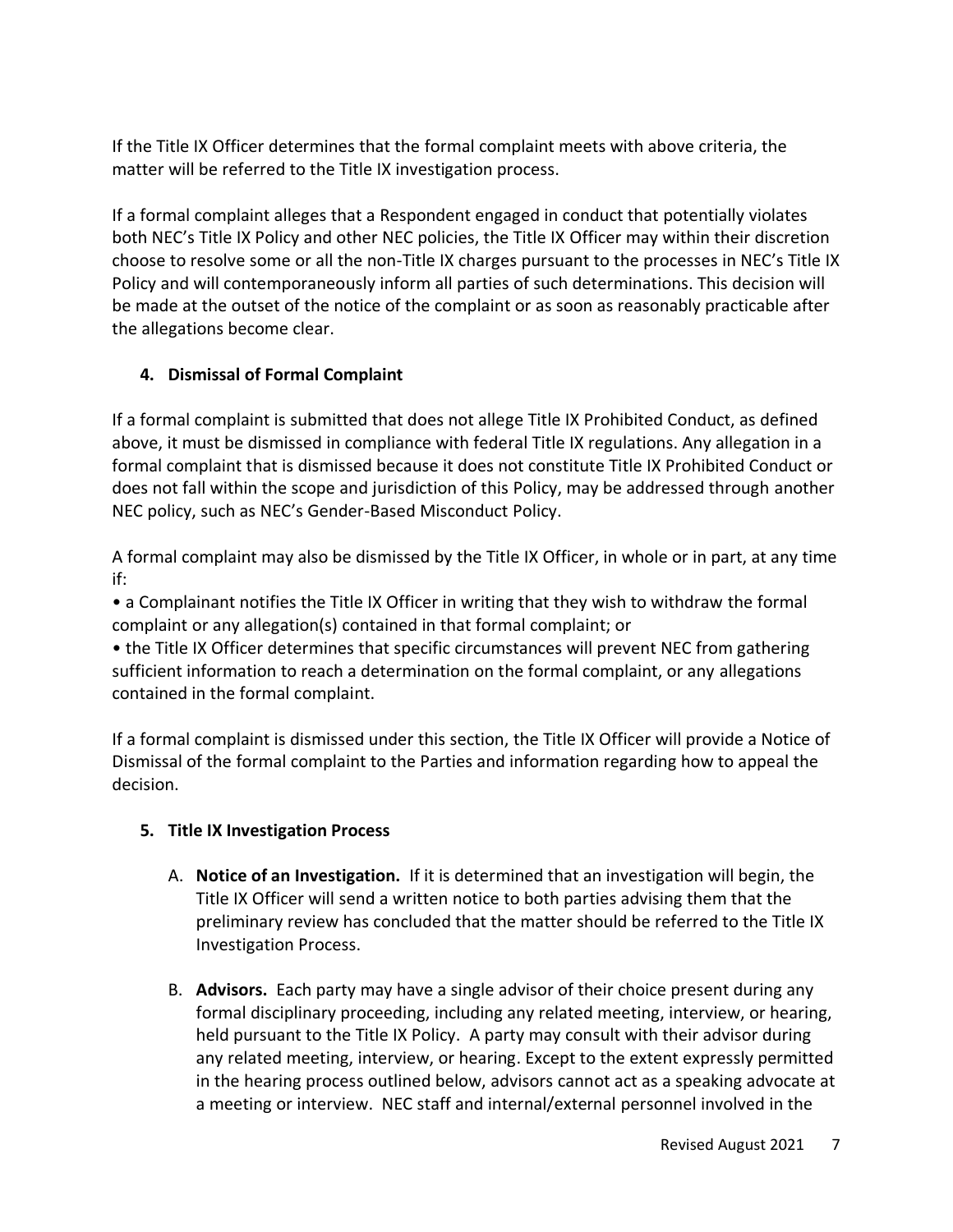If the Title IX Officer determines that the formal complaint meets with above criteria, the matter will be referred to the Title IX investigation process.

If a formal complaint alleges that a Respondent engaged in conduct that potentially violates both NEC's Title IX Policy and other NEC policies, the Title IX Officer may within their discretion choose to resolve some or all the non-Title IX charges pursuant to the processes in NEC's Title IX Policy and will contemporaneously inform all parties of such determinations. This decision will be made at the outset of the notice of the complaint or as soon as reasonably practicable after the allegations become clear.

## **4. Dismissal of Formal Complaint**

If a formal complaint is submitted that does not allege Title IX Prohibited Conduct, as defined above, it must be dismissed in compliance with federal Title IX regulations. Any allegation in a formal complaint that is dismissed because it does not constitute Title IX Prohibited Conduct or does not fall within the scope and jurisdiction of this Policy, may be addressed through another NEC policy, such as NEC's Gender-Based Misconduct Policy.

A formal complaint may also be dismissed by the Title IX Officer, in whole or in part, at any time if:

• a Complainant notifies the Title IX Officer in writing that they wish to withdraw the formal complaint or any allegation(s) contained in that formal complaint; or

• the Title IX Officer determines that specific circumstances will prevent NEC from gathering sufficient information to reach a determination on the formal complaint, or any allegations contained in the formal complaint.

If a formal complaint is dismissed under this section, the Title IX Officer will provide a Notice of Dismissal of the formal complaint to the Parties and information regarding how to appeal the decision.

## **5. Title IX Investigation Process**

- A. **Notice of an Investigation.** If it is determined that an investigation will begin, the Title IX Officer will send a written notice to both parties advising them that the preliminary review has concluded that the matter should be referred to the Title IX Investigation Process.
- B. **Advisors.** Each party may have a single advisor of their choice present during any formal disciplinary proceeding, including any related meeting, interview, or hearing, held pursuant to the Title IX Policy. A party may consult with their advisor during any related meeting, interview, or hearing. Except to the extent expressly permitted in the hearing process outlined below, advisors cannot act as a speaking advocate at a meeting or interview. NEC staff and internal/external personnel involved in the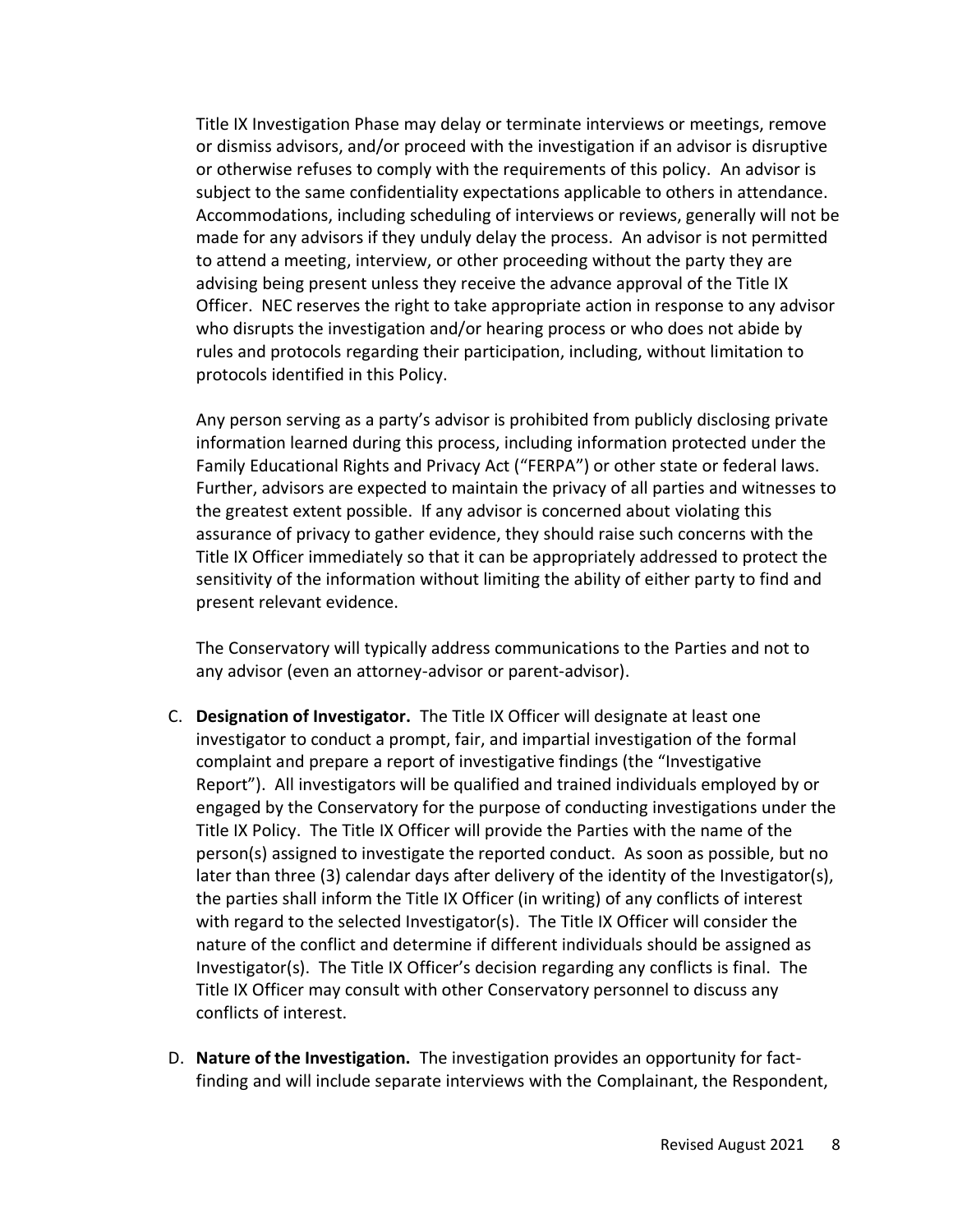Title IX Investigation Phase may delay or terminate interviews or meetings, remove or dismiss advisors, and/or proceed with the investigation if an advisor is disruptive or otherwise refuses to comply with the requirements of this policy. An advisor is subject to the same confidentiality expectations applicable to others in attendance. Accommodations, including scheduling of interviews or reviews, generally will not be made for any advisors if they unduly delay the process. An advisor is not permitted to attend a meeting, interview, or other proceeding without the party they are advising being present unless they receive the advance approval of the Title IX Officer. NEC reserves the right to take appropriate action in response to any advisor who disrupts the investigation and/or hearing process or who does not abide by rules and protocols regarding their participation, including, without limitation to protocols identified in this Policy.

Any person serving as a party's advisor is prohibited from publicly disclosing private information learned during this process, including information protected under the Family Educational Rights and Privacy Act ("FERPA") or other state or federal laws. Further, advisors are expected to maintain the privacy of all parties and witnesses to the greatest extent possible. If any advisor is concerned about violating this assurance of privacy to gather evidence, they should raise such concerns with the Title IX Officer immediately so that it can be appropriately addressed to protect the sensitivity of the information without limiting the ability of either party to find and present relevant evidence.

The Conservatory will typically address communications to the Parties and not to any advisor (even an attorney-advisor or parent-advisor).

- C. **Designation of Investigator.** The Title IX Officer will designate at least one investigator to conduct a prompt, fair, and impartial investigation of the formal complaint and prepare a report of investigative findings (the "Investigative Report"). All investigators will be qualified and trained individuals employed by or engaged by the Conservatory for the purpose of conducting investigations under the Title IX Policy. The Title IX Officer will provide the Parties with the name of the person(s) assigned to investigate the reported conduct. As soon as possible, but no later than three (3) calendar days after delivery of the identity of the Investigator(s), the parties shall inform the Title IX Officer (in writing) of any conflicts of interest with regard to the selected Investigator(s). The Title IX Officer will consider the nature of the conflict and determine if different individuals should be assigned as Investigator(s). The Title IX Officer's decision regarding any conflicts is final. The Title IX Officer may consult with other Conservatory personnel to discuss any conflicts of interest.
- D. **Nature of the Investigation.** The investigation provides an opportunity for factfinding and will include separate interviews with the Complainant, the Respondent,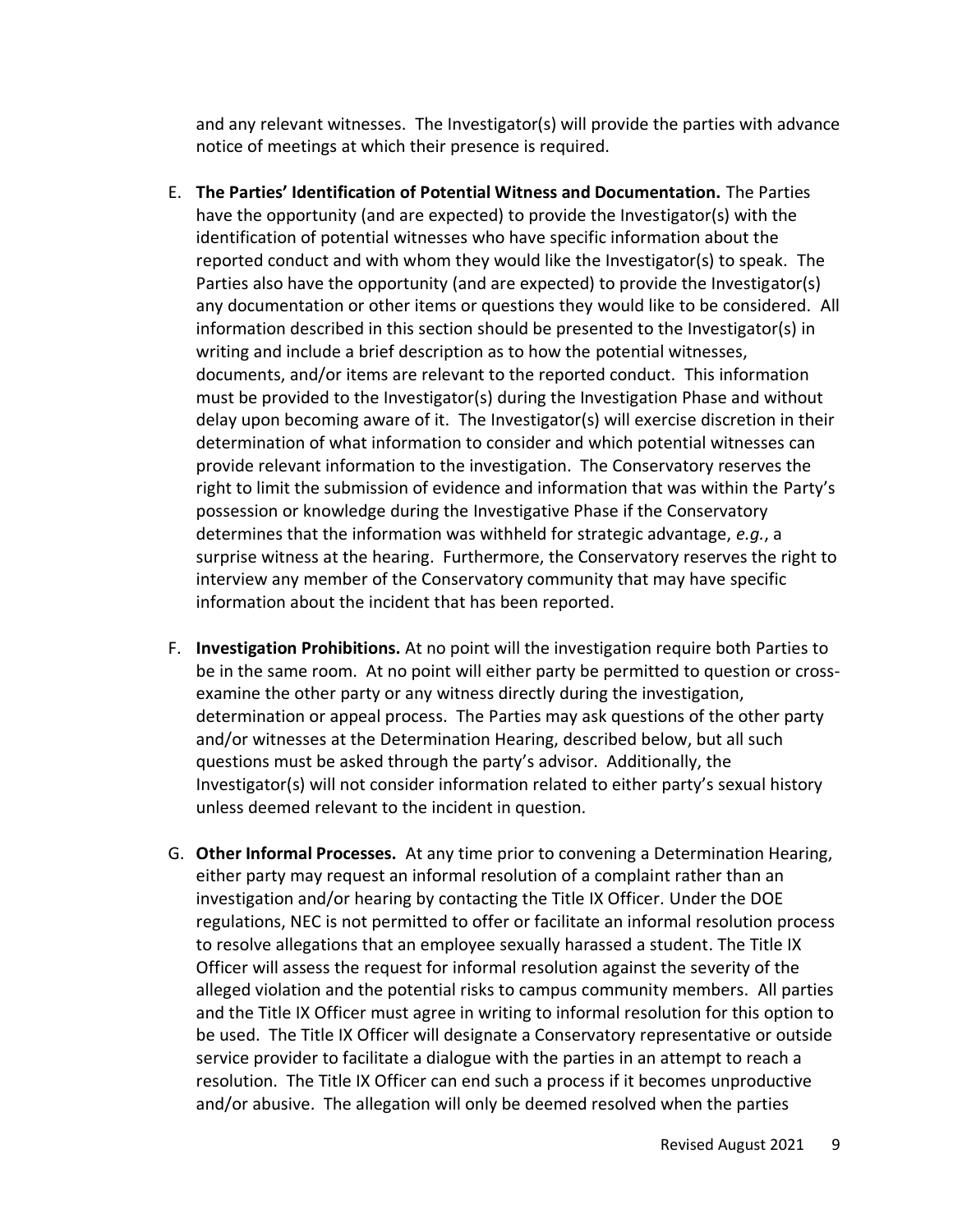and any relevant witnesses. The Investigator(s) will provide the parties with advance notice of meetings at which their presence is required.

- E. **The Parties' Identification of Potential Witness and Documentation.** The Parties have the opportunity (and are expected) to provide the Investigator(s) with the identification of potential witnesses who have specific information about the reported conduct and with whom they would like the Investigator(s) to speak. The Parties also have the opportunity (and are expected) to provide the Investigator(s) any documentation or other items or questions they would like to be considered. All information described in this section should be presented to the Investigator(s) in writing and include a brief description as to how the potential witnesses, documents, and/or items are relevant to the reported conduct. This information must be provided to the Investigator(s) during the Investigation Phase and without delay upon becoming aware of it. The Investigator(s) will exercise discretion in their determination of what information to consider and which potential witnesses can provide relevant information to the investigation. The Conservatory reserves the right to limit the submission of evidence and information that was within the Party's possession or knowledge during the Investigative Phase if the Conservatory determines that the information was withheld for strategic advantage, *e.g.*, a surprise witness at the hearing. Furthermore, the Conservatory reserves the right to interview any member of the Conservatory community that may have specific information about the incident that has been reported.
- F. **Investigation Prohibitions.** At no point will the investigation require both Parties to be in the same room. At no point will either party be permitted to question or crossexamine the other party or any witness directly during the investigation, determination or appeal process. The Parties may ask questions of the other party and/or witnesses at the Determination Hearing, described below, but all such questions must be asked through the party's advisor. Additionally, the Investigator(s) will not consider information related to either party's sexual history unless deemed relevant to the incident in question.
- G. **Other Informal Processes.** At any time prior to convening a Determination Hearing, either party may request an informal resolution of a complaint rather than an investigation and/or hearing by contacting the Title IX Officer. Under the DOE regulations, NEC is not permitted to offer or facilitate an informal resolution process to resolve allegations that an employee sexually harassed a student. The Title IX Officer will assess the request for informal resolution against the severity of the alleged violation and the potential risks to campus community members. All parties and the Title IX Officer must agree in writing to informal resolution for this option to be used. The Title IX Officer will designate a Conservatory representative or outside service provider to facilitate a dialogue with the parties in an attempt to reach a resolution. The Title IX Officer can end such a process if it becomes unproductive and/or abusive. The allegation will only be deemed resolved when the parties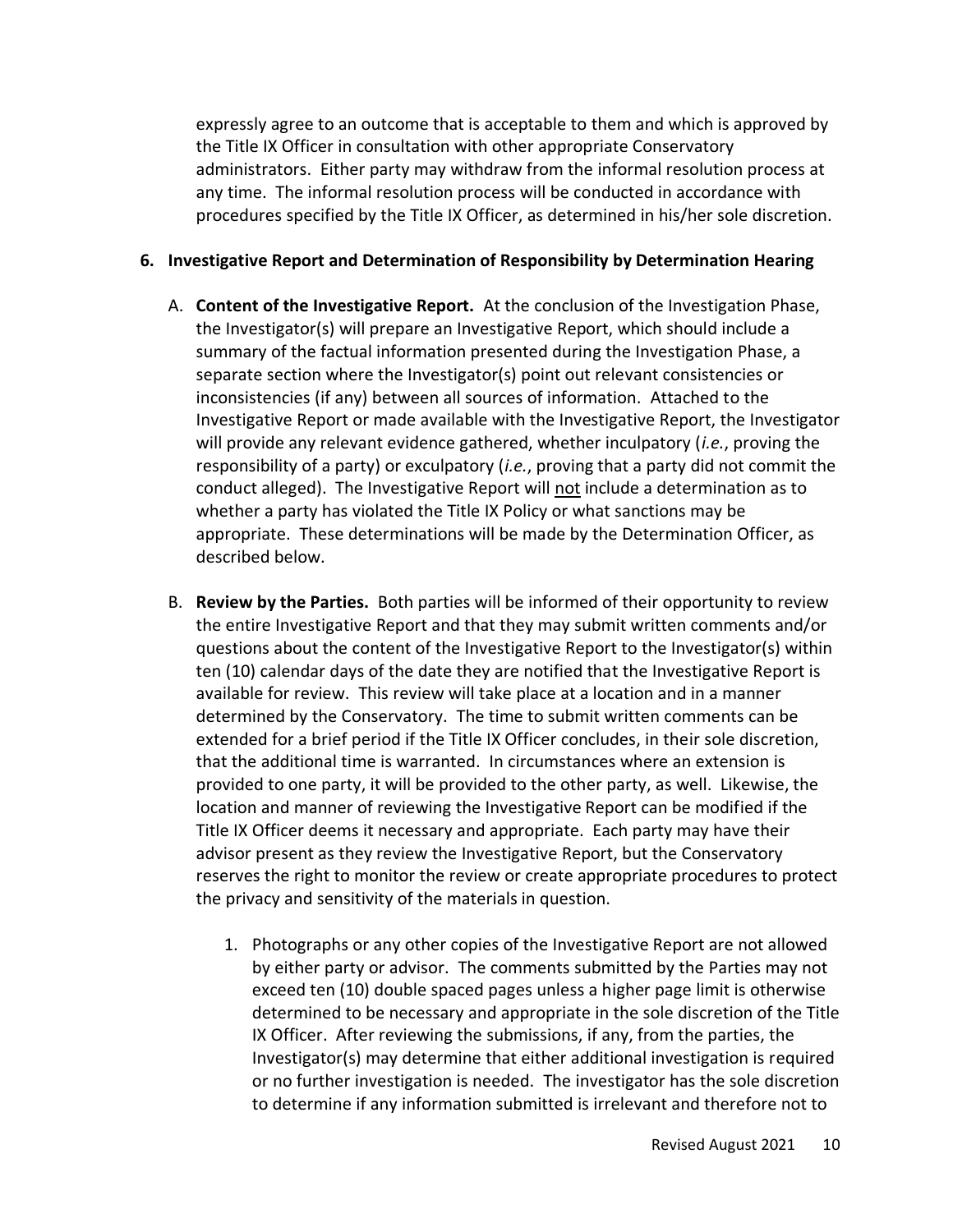expressly agree to an outcome that is acceptable to them and which is approved by the Title IX Officer in consultation with other appropriate Conservatory administrators. Either party may withdraw from the informal resolution process at any time. The informal resolution process will be conducted in accordance with procedures specified by the Title IX Officer, as determined in his/her sole discretion.

#### **6. Investigative Report and Determination of Responsibility by Determination Hearing**

- A. **Content of the Investigative Report.** At the conclusion of the Investigation Phase, the Investigator(s) will prepare an Investigative Report, which should include a summary of the factual information presented during the Investigation Phase, a separate section where the Investigator(s) point out relevant consistencies or inconsistencies (if any) between all sources of information. Attached to the Investigative Report or made available with the Investigative Report, the Investigator will provide any relevant evidence gathered, whether inculpatory (*i.e.*, proving the responsibility of a party) or exculpatory (*i.e.*, proving that a party did not commit the conduct alleged). The Investigative Report will not include a determination as to whether a party has violated the Title IX Policy or what sanctions may be appropriate. These determinations will be made by the Determination Officer, as described below.
- B. **Review by the Parties.** Both parties will be informed of their opportunity to review the entire Investigative Report and that they may submit written comments and/or questions about the content of the Investigative Report to the Investigator(s) within ten (10) calendar days of the date they are notified that the Investigative Report is available for review. This review will take place at a location and in a manner determined by the Conservatory. The time to submit written comments can be extended for a brief period if the Title IX Officer concludes, in their sole discretion, that the additional time is warranted. In circumstances where an extension is provided to one party, it will be provided to the other party, as well. Likewise, the location and manner of reviewing the Investigative Report can be modified if the Title IX Officer deems it necessary and appropriate. Each party may have their advisor present as they review the Investigative Report, but the Conservatory reserves the right to monitor the review or create appropriate procedures to protect the privacy and sensitivity of the materials in question.
	- 1. Photographs or any other copies of the Investigative Report are not allowed by either party or advisor. The comments submitted by the Parties may not exceed ten (10) double spaced pages unless a higher page limit is otherwise determined to be necessary and appropriate in the sole discretion of the Title IX Officer. After reviewing the submissions, if any, from the parties, the Investigator(s) may determine that either additional investigation is required or no further investigation is needed. The investigator has the sole discretion to determine if any information submitted is irrelevant and therefore not to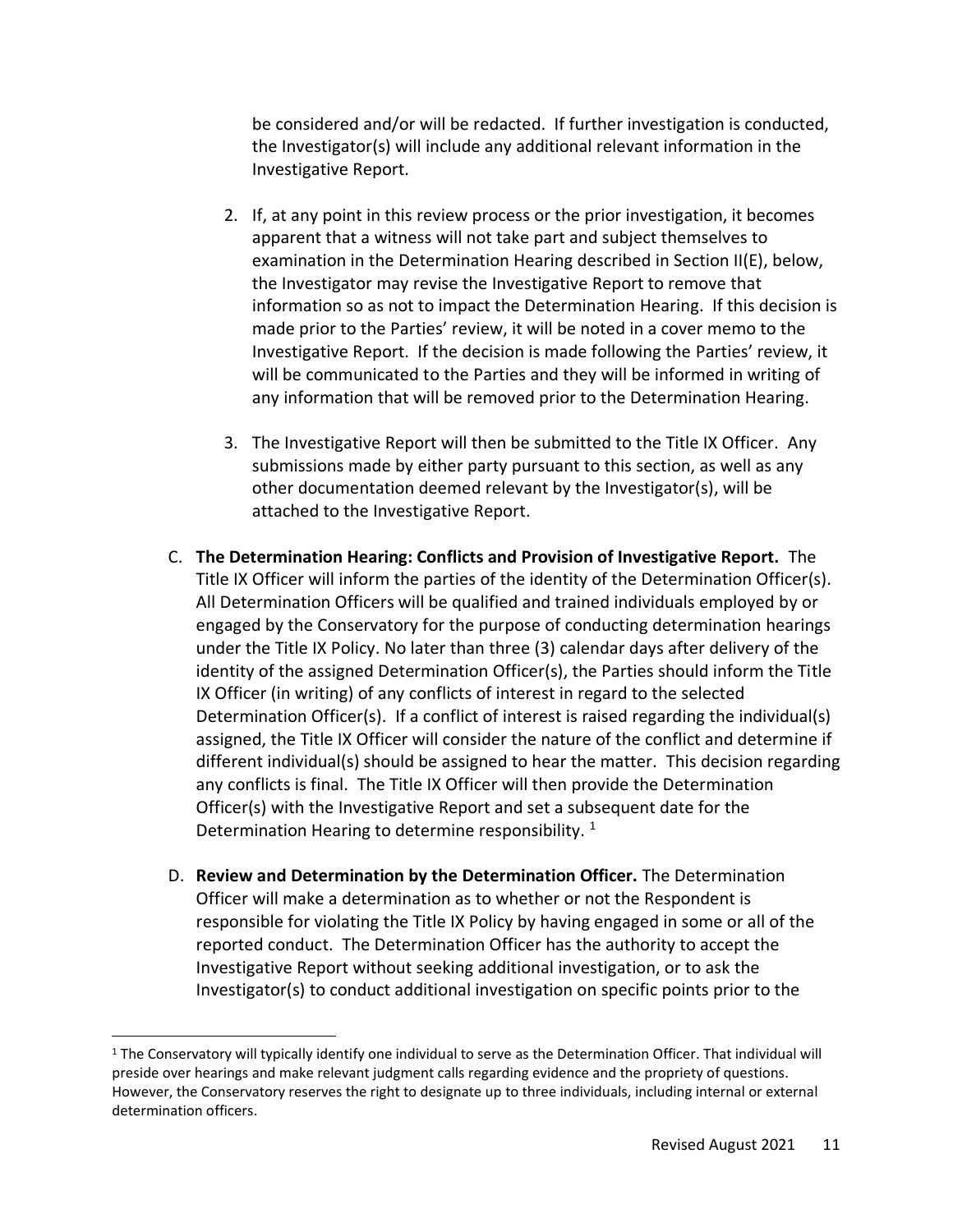be considered and/or will be redacted. If further investigation is conducted, the Investigator(s) will include any additional relevant information in the Investigative Report.

- 2. If, at any point in this review process or the prior investigation, it becomes apparent that a witness will not take part and subject themselves to examination in the Determination Hearing described in Section II(E), below, the Investigator may revise the Investigative Report to remove that information so as not to impact the Determination Hearing. If this decision is made prior to the Parties' review, it will be noted in a cover memo to the Investigative Report. If the decision is made following the Parties' review, it will be communicated to the Parties and they will be informed in writing of any information that will be removed prior to the Determination Hearing.
- 3. The Investigative Report will then be submitted to the Title IX Officer. Any submissions made by either party pursuant to this section, as well as any other documentation deemed relevant by the Investigator(s), will be attached to the Investigative Report.
- C. **The Determination Hearing: Conflicts and Provision of Investigative Report.** The Title IX Officer will inform the parties of the identity of the Determination Officer(s). All Determination Officers will be qualified and trained individuals employed by or engaged by the Conservatory for the purpose of conducting determination hearings under the Title IX Policy. No later than three (3) calendar days after delivery of the identity of the assigned Determination Officer(s), the Parties should inform the Title IX Officer (in writing) of any conflicts of interest in regard to the selected Determination Officer(s). If a conflict of interest is raised regarding the individual(s) assigned, the Title IX Officer will consider the nature of the conflict and determine if different individual(s) should be assigned to hear the matter. This decision regarding any conflicts is final. The Title IX Officer will then provide the Determination Officer(s) with the Investigative Report and set a subsequent date for the Determination Hearing to determine responsibility.  $1$
- D. **Review and Determination by the Determination Officer.** The Determination Officer will make a determination as to whether or not the Respondent is responsible for violating the Title IX Policy by having engaged in some or all of the reported conduct. The Determination Officer has the authority to accept the Investigative Report without seeking additional investigation, or to ask the Investigator(s) to conduct additional investigation on specific points prior to the

<sup>&</sup>lt;sup>1</sup> The Conservatory will typically identify one individual to serve as the Determination Officer. That individual will preside over hearings and make relevant judgment calls regarding evidence and the propriety of questions. However, the Conservatory reserves the right to designate up to three individuals, including internal or external determination officers.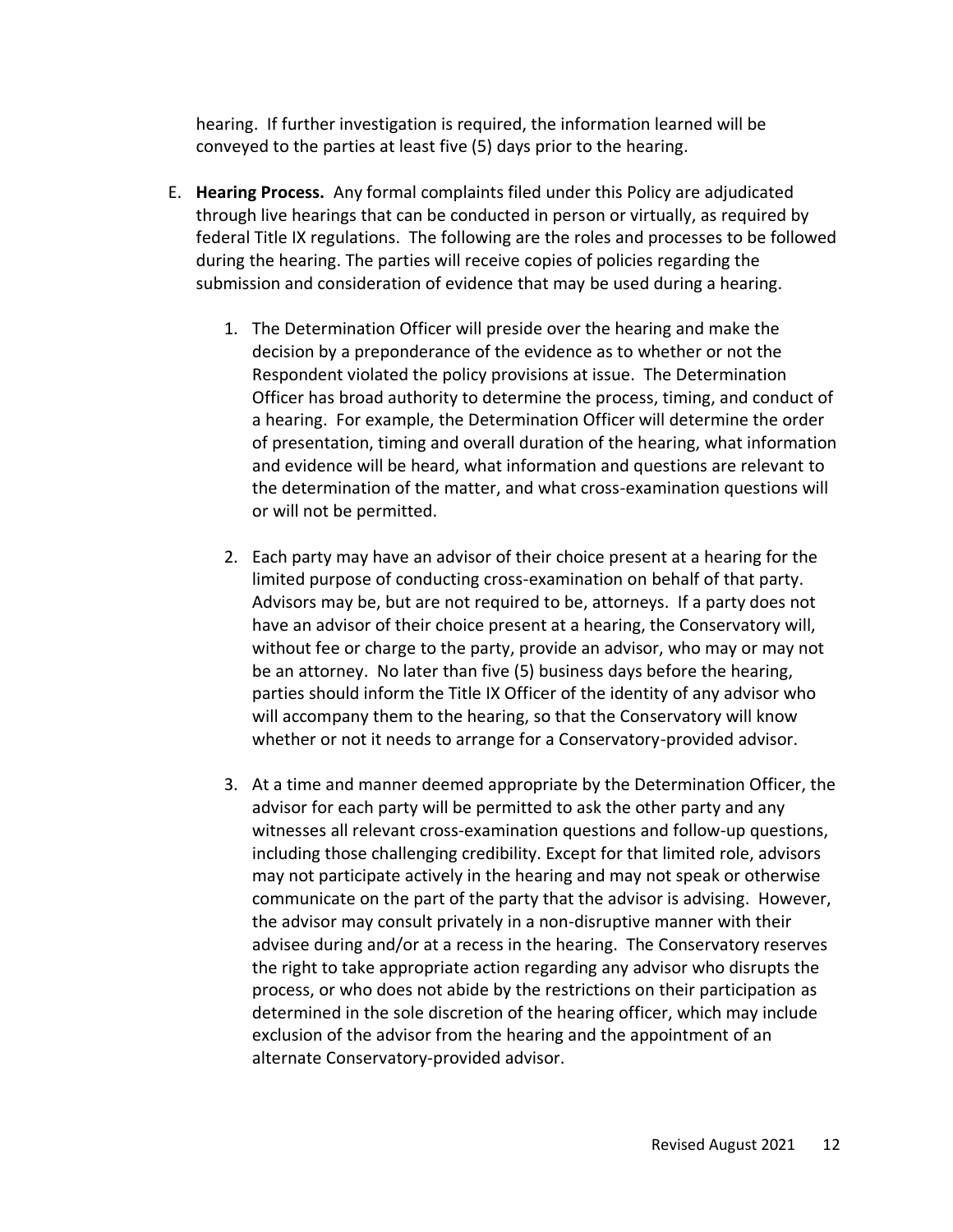hearing. If further investigation is required, the information learned will be conveyed to the parties at least five (5) days prior to the hearing.

- E. **Hearing Process.** Any formal complaints filed under this Policy are adjudicated through live hearings that can be conducted in person or virtually, as required by federal Title IX regulations. The following are the roles and processes to be followed during the hearing. The parties will receive copies of policies regarding the submission and consideration of evidence that may be used during a hearing.
	- 1. The Determination Officer will preside over the hearing and make the decision by a preponderance of the evidence as to whether or not the Respondent violated the policy provisions at issue. The Determination Officer has broad authority to determine the process, timing, and conduct of a hearing. For example, the Determination Officer will determine the order of presentation, timing and overall duration of the hearing, what information and evidence will be heard, what information and questions are relevant to the determination of the matter, and what cross-examination questions will or will not be permitted.
	- 2. Each party may have an advisor of their choice present at a hearing for the limited purpose of conducting cross-examination on behalf of that party. Advisors may be, but are not required to be, attorneys. If a party does not have an advisor of their choice present at a hearing, the Conservatory will, without fee or charge to the party, provide an advisor, who may or may not be an attorney. No later than five (5) business days before the hearing, parties should inform the Title IX Officer of the identity of any advisor who will accompany them to the hearing, so that the Conservatory will know whether or not it needs to arrange for a Conservatory-provided advisor.
	- 3. At a time and manner deemed appropriate by the Determination Officer, the advisor for each party will be permitted to ask the other party and any witnesses all relevant cross-examination questions and follow-up questions, including those challenging credibility. Except for that limited role, advisors may not participate actively in the hearing and may not speak or otherwise communicate on the part of the party that the advisor is advising. However, the advisor may consult privately in a non-disruptive manner with their advisee during and/or at a recess in the hearing. The Conservatory reserves the right to take appropriate action regarding any advisor who disrupts the process, or who does not abide by the restrictions on their participation as determined in the sole discretion of the hearing officer, which may include exclusion of the advisor from the hearing and the appointment of an alternate Conservatory-provided advisor.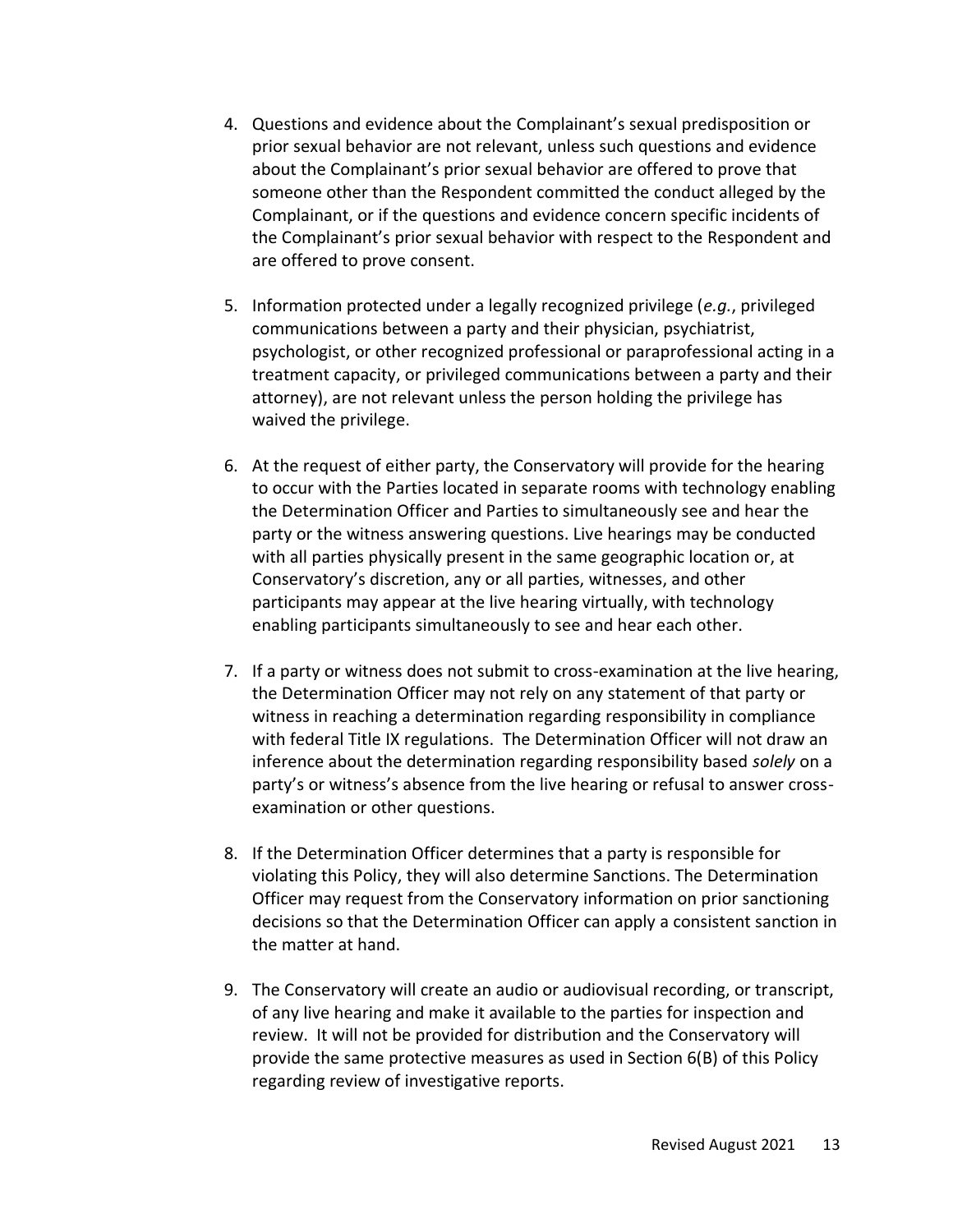- 4. Questions and evidence about the Complainant's sexual predisposition or prior sexual behavior are not relevant, unless such questions and evidence about the Complainant's prior sexual behavior are offered to prove that someone other than the Respondent committed the conduct alleged by the Complainant, or if the questions and evidence concern specific incidents of the Complainant's prior sexual behavior with respect to the Respondent and are offered to prove consent.
- 5. Information protected under a legally recognized privilege (*e.g.*, privileged communications between a party and their physician, psychiatrist, psychologist, or other recognized professional or paraprofessional acting in a treatment capacity, or privileged communications between a party and their attorney), are not relevant unless the person holding the privilege has waived the privilege.
- 6. At the request of either party, the Conservatory will provide for the hearing to occur with the Parties located in separate rooms with technology enabling the Determination Officer and Parties to simultaneously see and hear the party or the witness answering questions. Live hearings may be conducted with all parties physically present in the same geographic location or, at Conservatory's discretion, any or all parties, witnesses, and other participants may appear at the live hearing virtually, with technology enabling participants simultaneously to see and hear each other.
- 7. If a party or witness does not submit to cross-examination at the live hearing, the Determination Officer may not rely on any statement of that party or witness in reaching a determination regarding responsibility in compliance with federal Title IX regulations. The Determination Officer will not draw an inference about the determination regarding responsibility based *solely* on a party's or witness's absence from the live hearing or refusal to answer crossexamination or other questions.
- 8. If the Determination Officer determines that a party is responsible for violating this Policy, they will also determine Sanctions. The Determination Officer may request from the Conservatory information on prior sanctioning decisions so that the Determination Officer can apply a consistent sanction in the matter at hand.
- 9. The Conservatory will create an audio or audiovisual recording, or transcript, of any live hearing and make it available to the parties for inspection and review. It will not be provided for distribution and the Conservatory will provide the same protective measures as used in Section 6(B) of this Policy regarding review of investigative reports.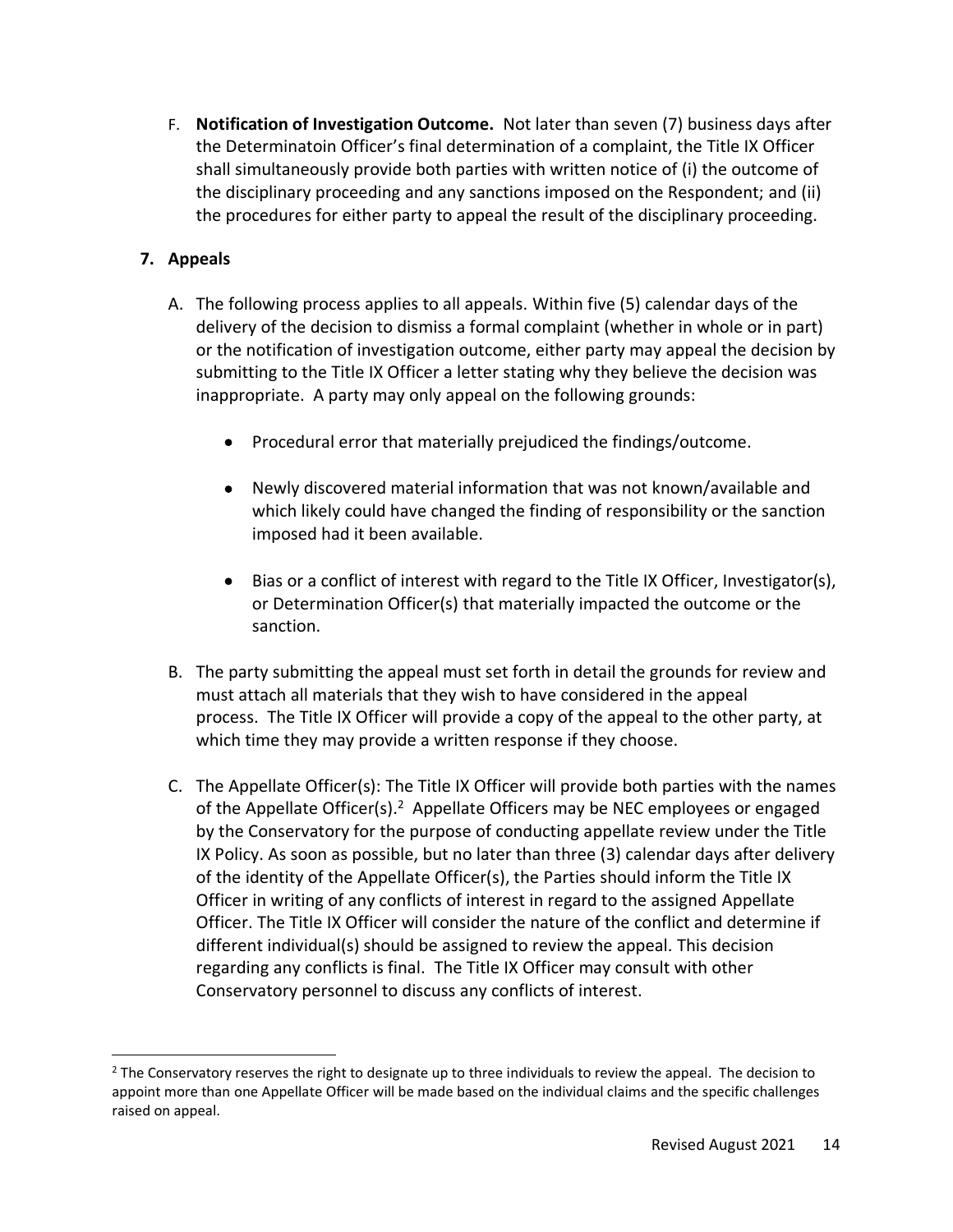F. **Notification of Investigation Outcome.** Not later than seven (7) business days after the Determinatoin Officer's final determination of a complaint, the Title IX Officer shall simultaneously provide both parties with written notice of (i) the outcome of the disciplinary proceeding and any sanctions imposed on the Respondent; and (ii) the procedures for either party to appeal the result of the disciplinary proceeding.

# **7. Appeals**

- A. The following process applies to all appeals. Within five (5) calendar days of the delivery of the decision to dismiss a formal complaint (whether in whole or in part) or the notification of investigation outcome, either party may appeal the decision by submitting to the Title IX Officer a letter stating why they believe the decision was inappropriate. A party may only appeal on the following grounds:
	- Procedural error that materially prejudiced the findings/outcome.
	- Newly discovered material information that was not known/available and which likely could have changed the finding of responsibility or the sanction imposed had it been available.
	- Bias or a conflict of interest with regard to the Title IX Officer, Investigator(s), or Determination Officer(s) that materially impacted the outcome or the sanction.
- B. The party submitting the appeal must set forth in detail the grounds for review and must attach all materials that they wish to have considered in the appeal process. The Title IX Officer will provide a copy of the appeal to the other party, at which time they may provide a written response if they choose.
- C. The Appellate Officer(s): The Title IX Officer will provide both parties with the names of the Appellate Officer(s).<sup>2</sup> Appellate Officers may be NEC employees or engaged by the Conservatory for the purpose of conducting appellate review under the Title IX Policy. As soon as possible, but no later than three (3) calendar days after delivery of the identity of the Appellate Officer(s), the Parties should inform the Title IX Officer in writing of any conflicts of interest in regard to the assigned Appellate Officer. The Title IX Officer will consider the nature of the conflict and determine if different individual(s) should be assigned to review the appeal. This decision regarding any conflicts is final. The Title IX Officer may consult with other Conservatory personnel to discuss any conflicts of interest.

<sup>&</sup>lt;sup>2</sup> The Conservatory reserves the right to designate up to three individuals to review the appeal. The decision to appoint more than one Appellate Officer will be made based on the individual claims and the specific challenges raised on appeal.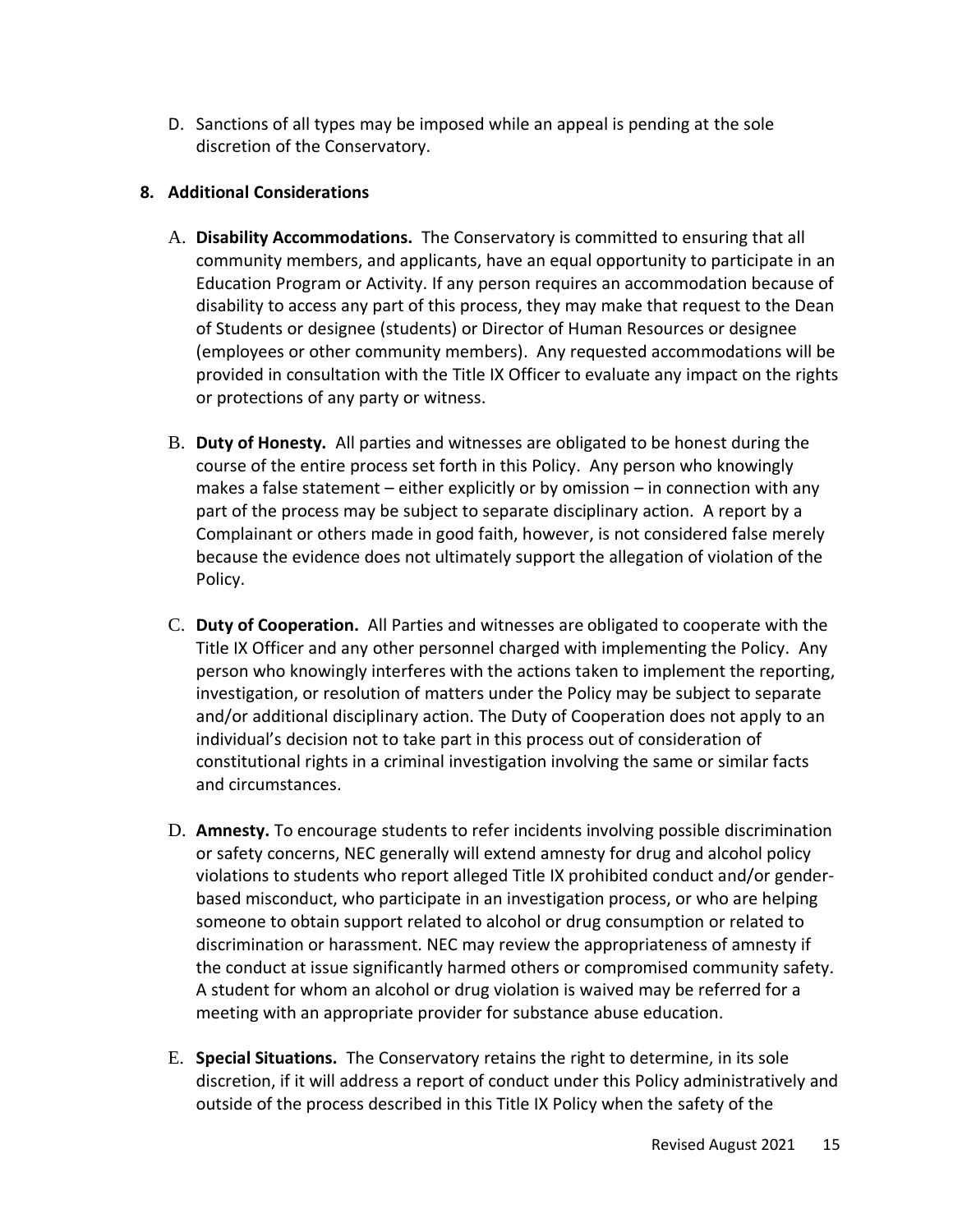D. Sanctions of all types may be imposed while an appeal is pending at the sole discretion of the Conservatory.

## **8. Additional Considerations**

- A. **Disability Accommodations.** The Conservatory is committed to ensuring that all community members, and applicants, have an equal opportunity to participate in an Education Program or Activity. If any person requires an accommodation because of disability to access any part of this process, they may make that request to the Dean of Students or designee (students) or Director of Human Resources or designee (employees or other community members). Any requested accommodations will be provided in consultation with the Title IX Officer to evaluate any impact on the rights or protections of any party or witness.
- B. **Duty of Honesty.** All parties and witnesses are obligated to be honest during the course of the entire process set forth in this Policy. Any person who knowingly makes a false statement – either explicitly or by omission – in connection with any part of the process may be subject to separate disciplinary action. A report by a Complainant or others made in good faith, however, is not considered false merely because the evidence does not ultimately support the allegation of violation of the Policy.
- C. **Duty of Cooperation.** All Parties and witnesses are obligated to cooperate with the Title IX Officer and any other personnel charged with implementing the Policy. Any person who knowingly interferes with the actions taken to implement the reporting, investigation, or resolution of matters under the Policy may be subject to separate and/or additional disciplinary action. The Duty of Cooperation does not apply to an individual's decision not to take part in this process out of consideration of constitutional rights in a criminal investigation involving the same or similar facts and circumstances.
- D. **Amnesty.** To encourage students to refer incidents involving possible discrimination or safety concerns, NEC generally will extend amnesty for drug and alcohol policy violations to students who report alleged Title IX prohibited conduct and/or genderbased misconduct, who participate in an investigation process, or who are helping someone to obtain support related to alcohol or drug consumption or related to discrimination or harassment. NEC may review the appropriateness of amnesty if the conduct at issue significantly harmed others or compromised community safety. A student for whom an alcohol or drug violation is waived may be referred for a meeting with an appropriate provider for substance abuse education.
- E. **Special Situations.** The Conservatory retains the right to determine, in its sole discretion, if it will address a report of conduct under this Policy administratively and outside of the process described in this Title IX Policy when the safety of the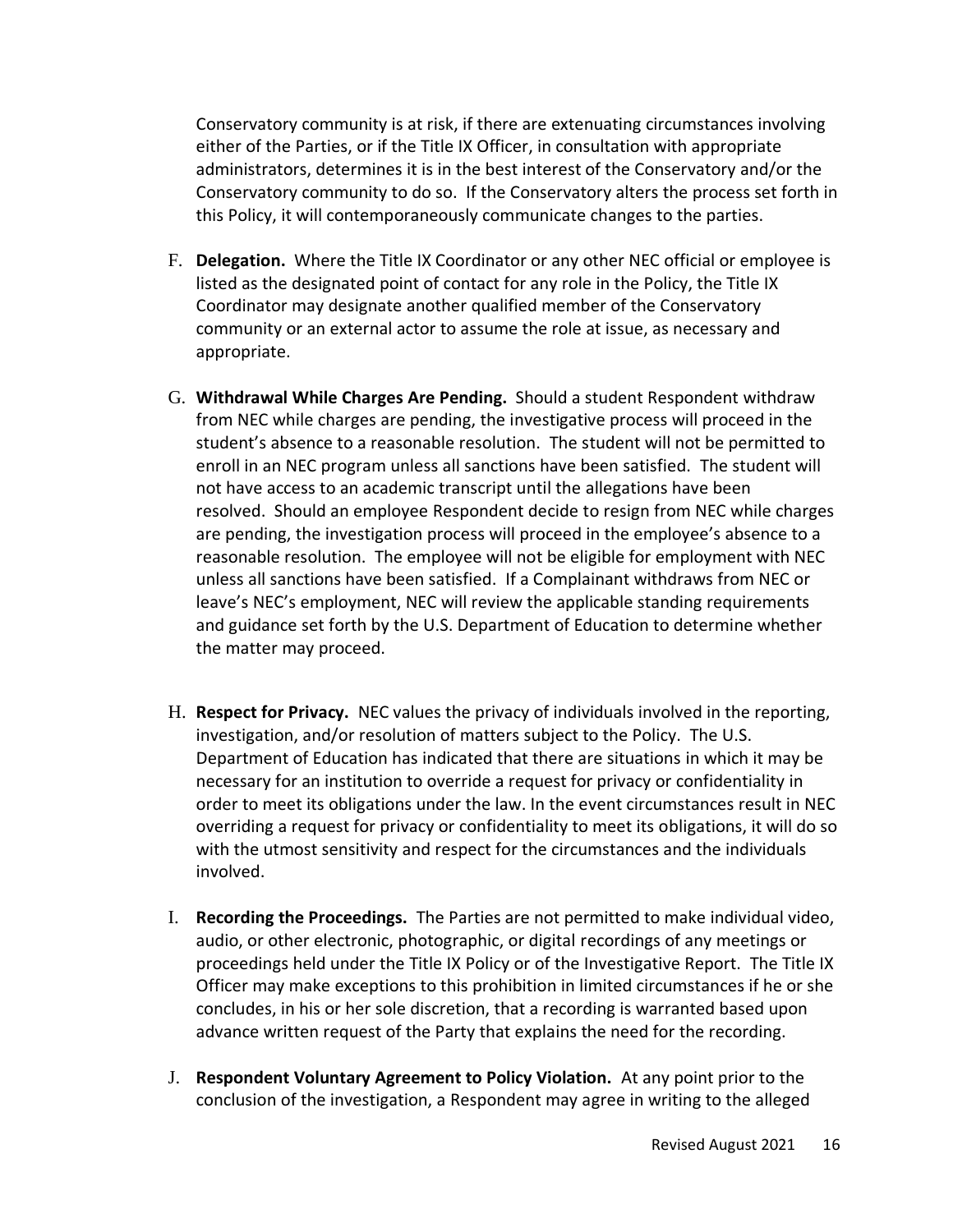Conservatory community is at risk, if there are extenuating circumstances involving either of the Parties, or if the Title IX Officer, in consultation with appropriate administrators, determines it is in the best interest of the Conservatory and/or the Conservatory community to do so. If the Conservatory alters the process set forth in this Policy, it will contemporaneously communicate changes to the parties.

- F. **Delegation.** Where the Title IX Coordinator or any other NEC official or employee is listed as the designated point of contact for any role in the Policy, the Title IX Coordinator may designate another qualified member of the Conservatory community or an external actor to assume the role at issue, as necessary and appropriate.
- G. **Withdrawal While Charges Are Pending.** Should a student Respondent withdraw from NEC while charges are pending, the investigative process will proceed in the student's absence to a reasonable resolution. The student will not be permitted to enroll in an NEC program unless all sanctions have been satisfied. The student will not have access to an academic transcript until the allegations have been resolved. Should an employee Respondent decide to resign from NEC while charges are pending, the investigation process will proceed in the employee's absence to a reasonable resolution. The employee will not be eligible for employment with NEC unless all sanctions have been satisfied. If a Complainant withdraws from NEC or leave's NEC's employment, NEC will review the applicable standing requirements and guidance set forth by the U.S. Department of Education to determine whether the matter may proceed.
- H. **Respect for Privacy.** NEC values the privacy of individuals involved in the reporting, investigation, and/or resolution of matters subject to the Policy. The U.S. Department of Education has indicated that there are situations in which it may be necessary for an institution to override a request for privacy or confidentiality in order to meet its obligations under the law. In the event circumstances result in NEC overriding a request for privacy or confidentiality to meet its obligations, it will do so with the utmost sensitivity and respect for the circumstances and the individuals involved.
- I. **Recording the Proceedings.** The Parties are not permitted to make individual video, audio, or other electronic, photographic, or digital recordings of any meetings or proceedings held under the Title IX Policy or of the Investigative Report. The Title IX Officer may make exceptions to this prohibition in limited circumstances if he or she concludes, in his or her sole discretion, that a recording is warranted based upon advance written request of the Party that explains the need for the recording.
- J. **Respondent Voluntary Agreement to Policy Violation.** At any point prior to the conclusion of the investigation, a Respondent may agree in writing to the alleged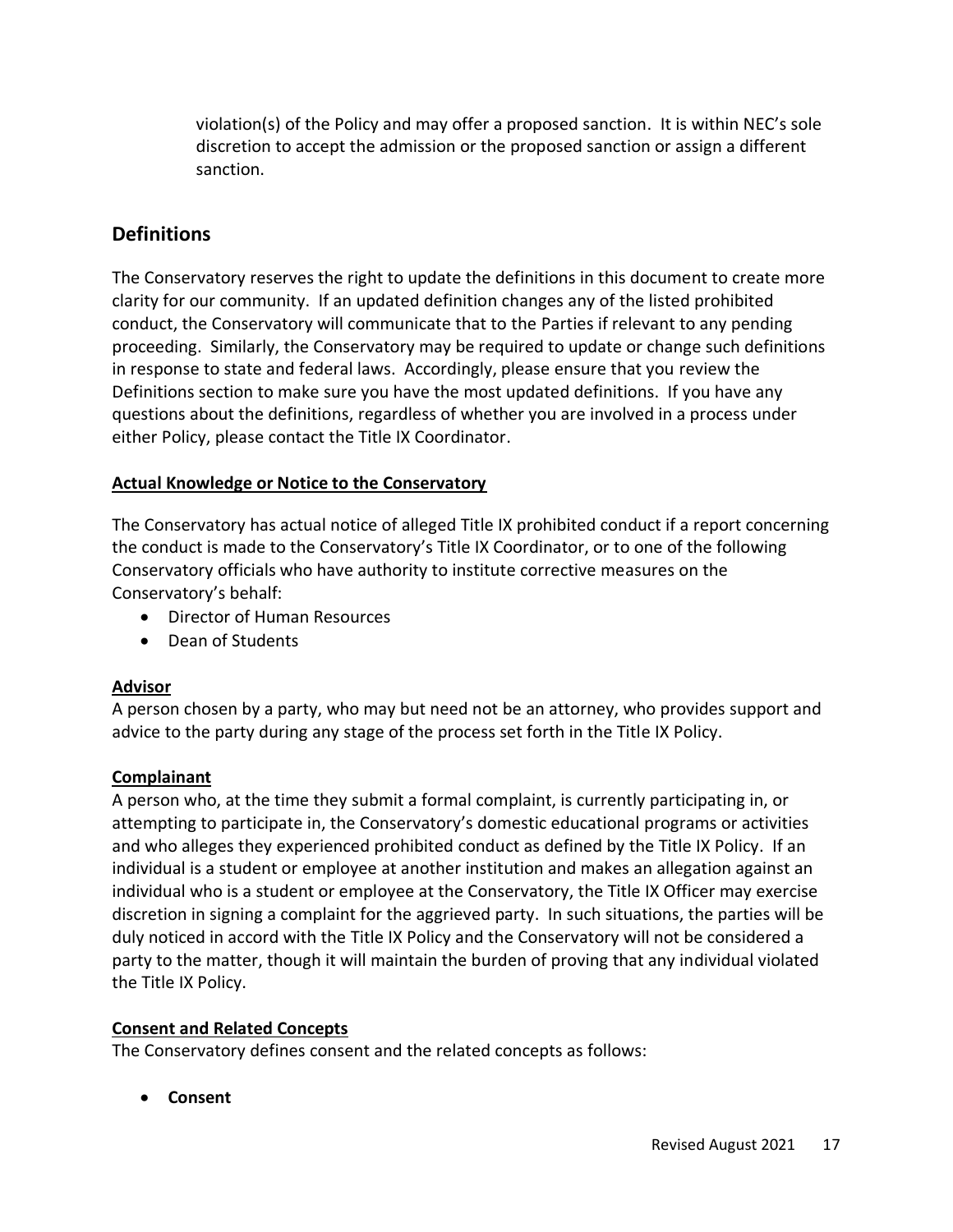violation(s) of the Policy and may offer a proposed sanction. It is within NEC's sole discretion to accept the admission or the proposed sanction or assign a different sanction.

# **Definitions**

The Conservatory reserves the right to update the definitions in this document to create more clarity for our community. If an updated definition changes any of the listed prohibited conduct, the Conservatory will communicate that to the Parties if relevant to any pending proceeding. Similarly, the Conservatory may be required to update or change such definitions in response to state and federal laws. Accordingly, please ensure that you review the Definitions section to make sure you have the most updated definitions. If you have any questions about the definitions, regardless of whether you are involved in a process under either Policy, please contact the Title IX Coordinator.

## **Actual Knowledge or Notice to the Conservatory**

The Conservatory has actual notice of alleged Title IX prohibited conduct if a report concerning the conduct is made to the Conservatory's Title IX Coordinator, or to one of the following Conservatory officials who have authority to institute corrective measures on the Conservatory's behalf:

- Director of Human Resources
- Dean of Students

## **Advisor**

A person chosen by a party, who may but need not be an attorney, who provides support and advice to the party during any stage of the process set forth in the Title IX Policy.

## **Complainant**

A person who, at the time they submit a formal complaint, is currently participating in, or attempting to participate in, the Conservatory's domestic educational programs or activities and who alleges they experienced prohibited conduct as defined by the Title IX Policy. If an individual is a student or employee at another institution and makes an allegation against an individual who is a student or employee at the Conservatory, the Title IX Officer may exercise discretion in signing a complaint for the aggrieved party. In such situations, the parties will be duly noticed in accord with the Title IX Policy and the Conservatory will not be considered a party to the matter, though it will maintain the burden of proving that any individual violated the Title IX Policy.

## **Consent and Related Concepts**

The Conservatory defines consent and the related concepts as follows:

• **Consent**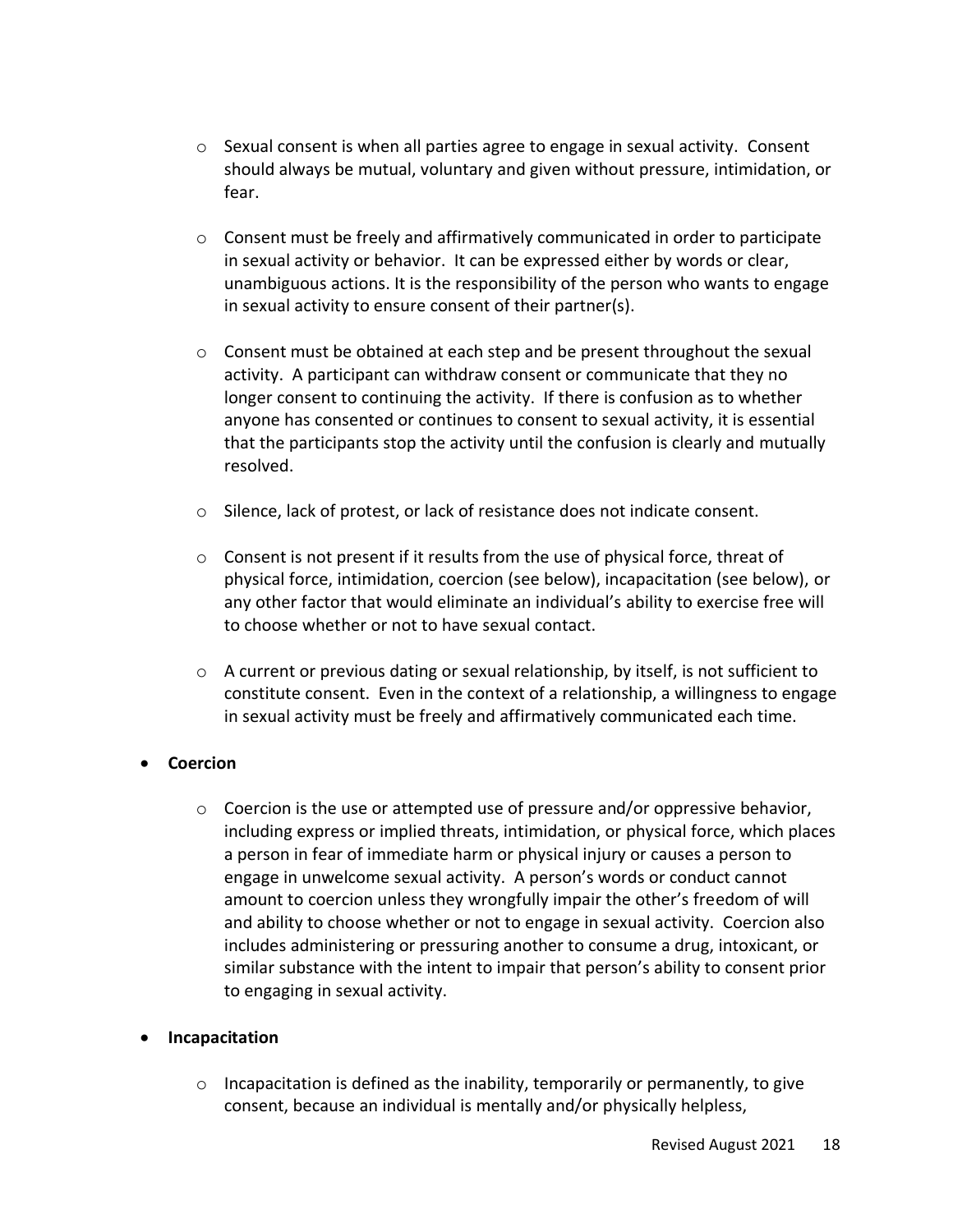- $\circ$  Sexual consent is when all parties agree to engage in sexual activity. Consent should always be mutual, voluntary and given without pressure, intimidation, or fear.
- $\circ$  Consent must be freely and affirmatively communicated in order to participate in sexual activity or behavior. It can be expressed either by words or clear, unambiguous actions. It is the responsibility of the person who wants to engage in sexual activity to ensure consent of their partner(s).
- $\circ$  Consent must be obtained at each step and be present throughout the sexual activity. A participant can withdraw consent or communicate that they no longer consent to continuing the activity. If there is confusion as to whether anyone has consented or continues to consent to sexual activity, it is essential that the participants stop the activity until the confusion is clearly and mutually resolved.
- o Silence, lack of protest, or lack of resistance does not indicate consent.
- o Consent is not present if it results from the use of physical force, threat of physical force, intimidation, coercion (see below), incapacitation (see below), or any other factor that would eliminate an individual's ability to exercise free will to choose whether or not to have sexual contact.
- $\circ$  A current or previous dating or sexual relationship, by itself, is not sufficient to constitute consent. Even in the context of a relationship, a willingness to engage in sexual activity must be freely and affirmatively communicated each time.

## • **Coercion**

 $\circ$  Coercion is the use or attempted use of pressure and/or oppressive behavior, including express or implied threats, intimidation, or physical force, which places a person in fear of immediate harm or physical injury or causes a person to engage in unwelcome sexual activity. A person's words or conduct cannot amount to coercion unless they wrongfully impair the other's freedom of will and ability to choose whether or not to engage in sexual activity. Coercion also includes administering or pressuring another to consume a drug, intoxicant, or similar substance with the intent to impair that person's ability to consent prior to engaging in sexual activity.

#### • **Incapacitation**

 $\circ$  Incapacitation is defined as the inability, temporarily or permanently, to give consent, because an individual is mentally and/or physically helpless,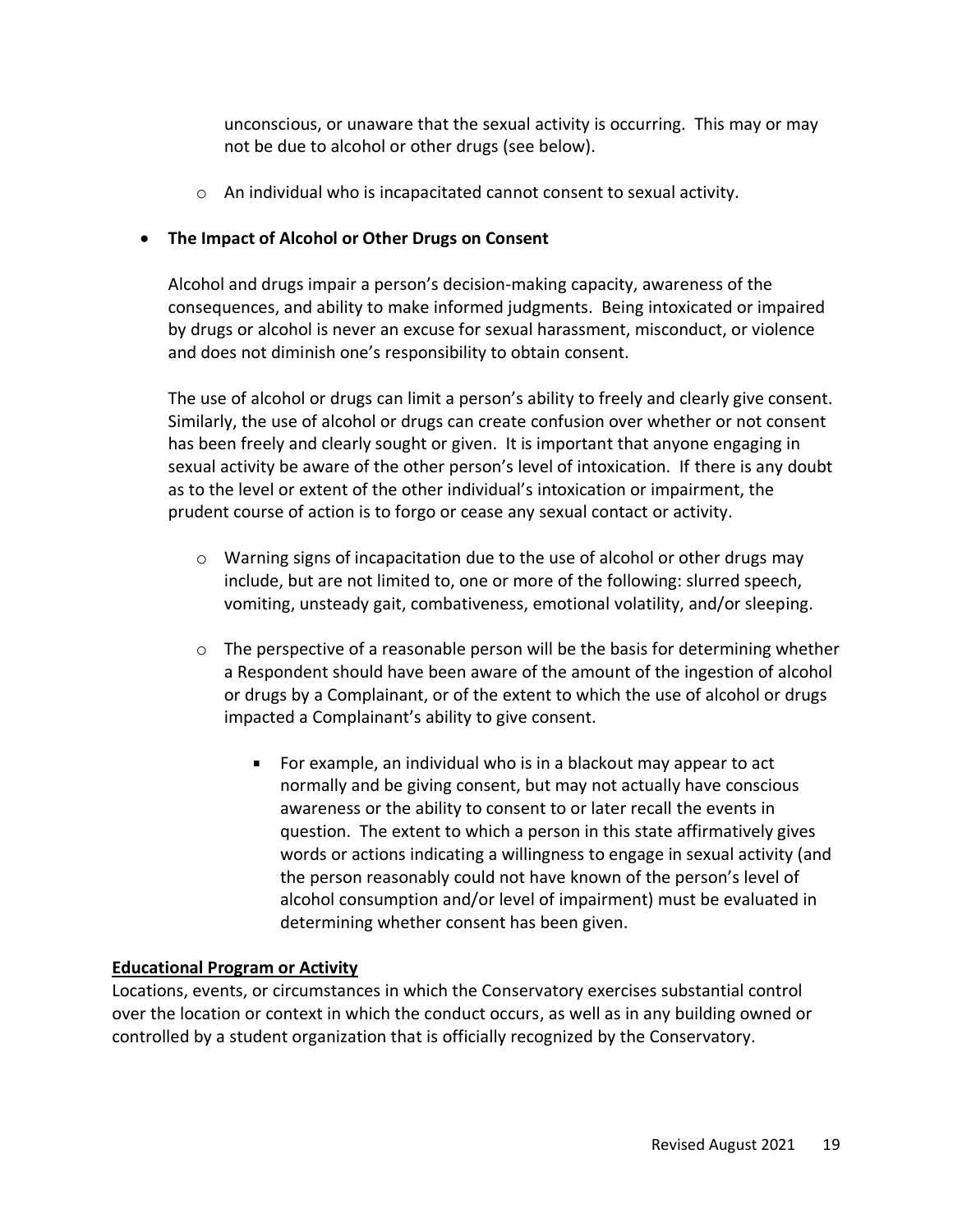unconscious, or unaware that the sexual activity is occurring. This may or may not be due to alcohol or other drugs (see below).

 $\circ$  An individual who is incapacitated cannot consent to sexual activity.

## • **The Impact of Alcohol or Other Drugs on Consent**

Alcohol and drugs impair a person's decision-making capacity, awareness of the consequences, and ability to make informed judgments. Being intoxicated or impaired by drugs or alcohol is never an excuse for sexual harassment, misconduct, or violence and does not diminish one's responsibility to obtain consent.

The use of alcohol or drugs can limit a person's ability to freely and clearly give consent. Similarly, the use of alcohol or drugs can create confusion over whether or not consent has been freely and clearly sought or given. It is important that anyone engaging in sexual activity be aware of the other person's level of intoxication. If there is any doubt as to the level or extent of the other individual's intoxication or impairment, the prudent course of action is to forgo or cease any sexual contact or activity.

- $\circ$  Warning signs of incapacitation due to the use of alcohol or other drugs may include, but are not limited to, one or more of the following: slurred speech, vomiting, unsteady gait, combativeness, emotional volatility, and/or sleeping.
- $\circ$  The perspective of a reasonable person will be the basis for determining whether a Respondent should have been aware of the amount of the ingestion of alcohol or drugs by a Complainant, or of the extent to which the use of alcohol or drugs impacted a Complainant's ability to give consent.
	- For example, an individual who is in a blackout may appear to act normally and be giving consent, but may not actually have conscious awareness or the ability to consent to or later recall the events in question. The extent to which a person in this state affirmatively gives words or actions indicating a willingness to engage in sexual activity (and the person reasonably could not have known of the person's level of alcohol consumption and/or level of impairment) must be evaluated in determining whether consent has been given.

## **Educational Program or Activity**

Locations, events, or circumstances in which the Conservatory exercises substantial control over the location or context in which the conduct occurs, as well as in any building owned or controlled by a student organization that is officially recognized by the Conservatory.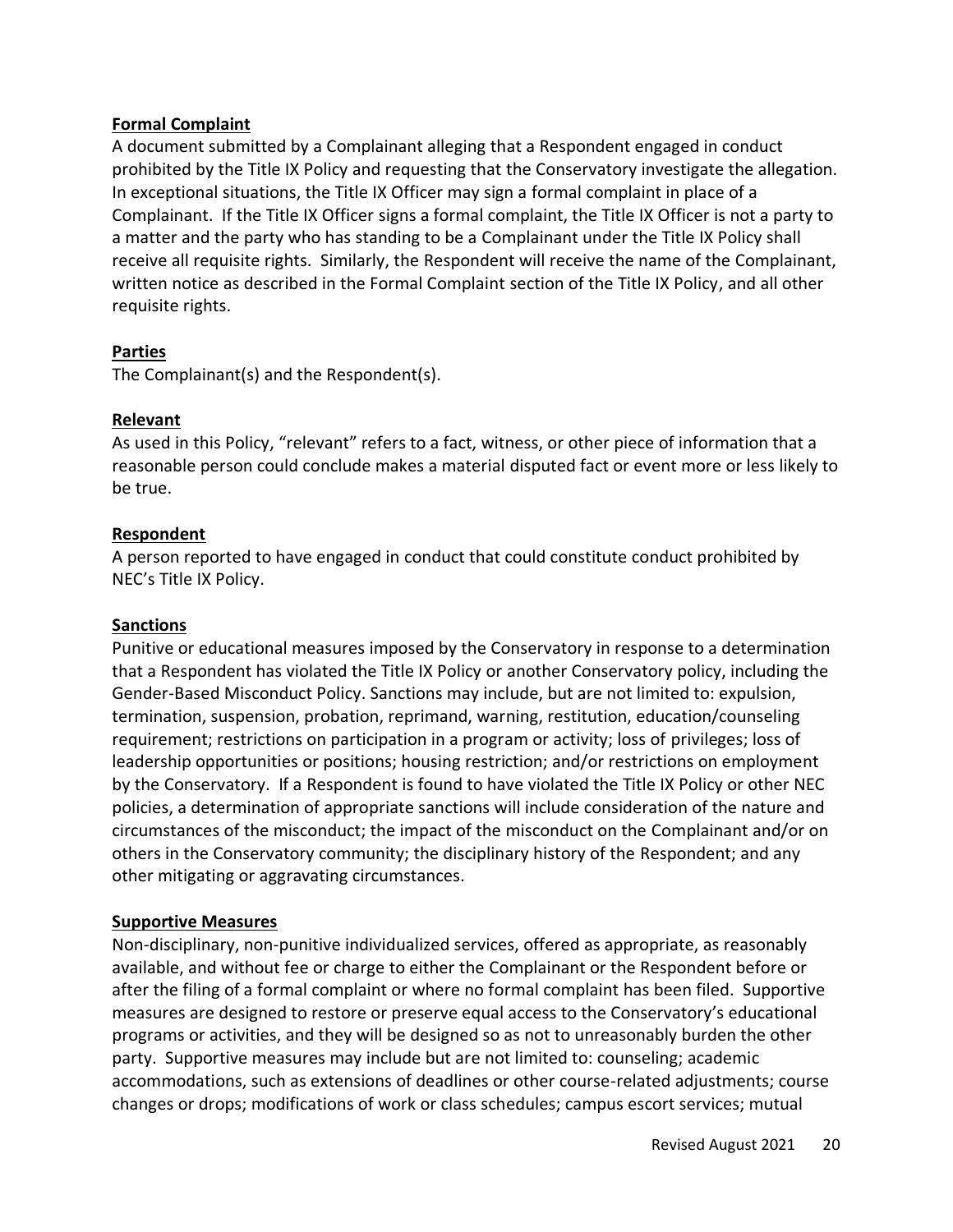#### **Formal Complaint**

A document submitted by a Complainant alleging that a Respondent engaged in conduct prohibited by the Title IX Policy and requesting that the Conservatory investigate the allegation. In exceptional situations, the Title IX Officer may sign a formal complaint in place of a Complainant. If the Title IX Officer signs a formal complaint, the Title IX Officer is not a party to a matter and the party who has standing to be a Complainant under the Title IX Policy shall receive all requisite rights. Similarly, the Respondent will receive the name of the Complainant, written notice as described in the Formal Complaint section of the Title IX Policy, and all other requisite rights.

#### **Parties**

The Complainant(s) and the Respondent(s).

#### **Relevant**

As used in this Policy, "relevant" refers to a fact, witness, or other piece of information that a reasonable person could conclude makes a material disputed fact or event more or less likely to be true.

#### **Respondent**

A person reported to have engaged in conduct that could constitute conduct prohibited by NEC's Title IX Policy.

#### **Sanctions**

Punitive or educational measures imposed by the Conservatory in response to a determination that a Respondent has violated the Title IX Policy or another Conservatory policy, including the Gender-Based Misconduct Policy. Sanctions may include, but are not limited to: expulsion, termination, suspension, probation, reprimand, warning, restitution, education/counseling requirement; restrictions on participation in a program or activity; loss of privileges; loss of leadership opportunities or positions; housing restriction; and/or restrictions on employment by the Conservatory. If a Respondent is found to have violated the Title IX Policy or other NEC policies, a determination of appropriate sanctions will include consideration of the nature and circumstances of the misconduct; the impact of the misconduct on the Complainant and/or on others in the Conservatory community; the disciplinary history of the Respondent; and any other mitigating or aggravating circumstances.

#### **Supportive Measures**

Non-disciplinary, non-punitive individualized services, offered as appropriate, as reasonably available, and without fee or charge to either the Complainant or the Respondent before or after the filing of a formal complaint or where no formal complaint has been filed. Supportive measures are designed to restore or preserve equal access to the Conservatory's educational programs or activities, and they will be designed so as not to unreasonably burden the other party. Supportive measures may include but are not limited to: counseling; academic accommodations, such as extensions of deadlines or other course-related adjustments; course changes or drops; modifications of work or class schedules; campus escort services; mutual